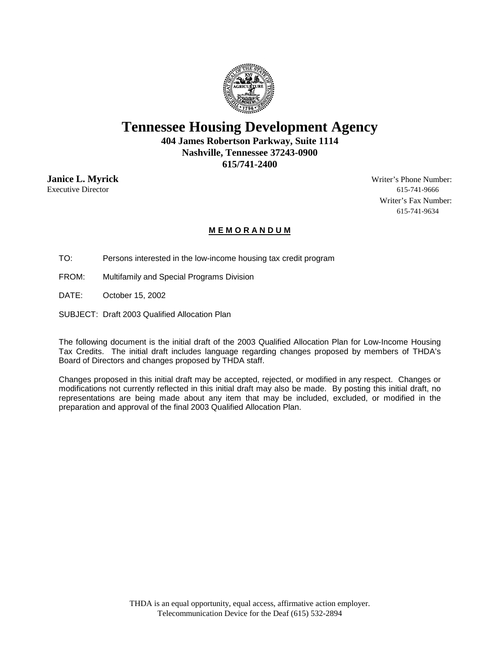

## **Tennessee Housing Development Agency**

**404 James Robertson Parkway, Suite 1114 Nashville, Tennessee 37243-0900 615/741-2400**

Executive Director 615-741-9666

**Janice L. Myrick** Writer's Phone Number: Writer's Fax Number: 615-741-9634

#### **M E M O R A N D U M**

TO: Persons interested in the low-income housing tax credit program

FROM: Multifamily and Special Programs Division

DATE: October 15, 2002

SUBJECT: Draft 2003 Qualified Allocation Plan

The following document is the initial draft of the 2003 Qualified Allocation Plan for Low-Income Housing Tax Credits. The initial draft includes language regarding changes proposed by members of THDA's Board of Directors and changes proposed by THDA staff.

Changes proposed in this initial draft may be accepted, rejected, or modified in any respect. Changes or modifications not currently reflected in this initial draft may also be made. By posting this initial draft, no representations are being made about any item that may be included, excluded, or modified in the preparation and approval of the final 2003 Qualified Allocation Plan.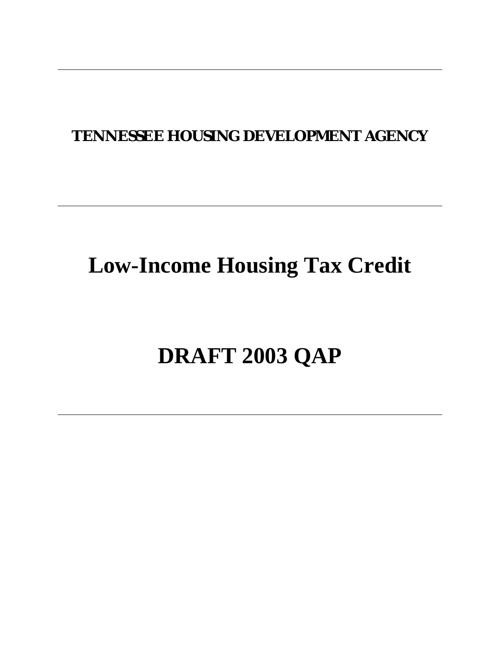## **TENNESSEE HOUSING DEVELOPMENT AGENCY**

## **Low-Income Housing Tax Credit**

# **DRAFT 2003 QAP**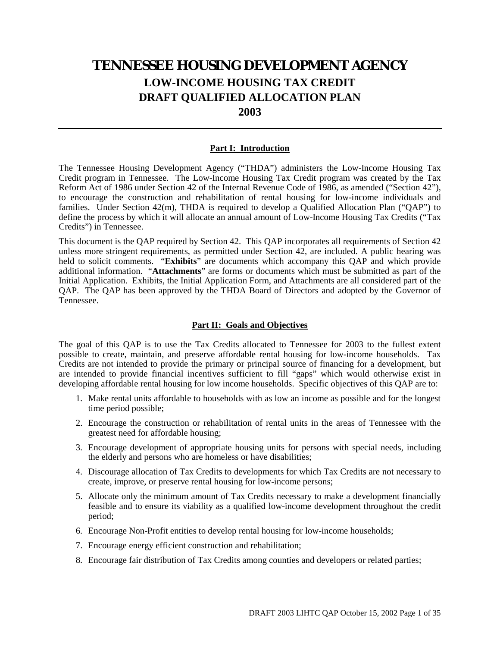### **TENNESSEE HOUSING DEVELOPMENT AGENCY LOW-INCOME HOUSING TAX CREDIT DRAFT QUALIFIED ALLOCATION PLAN 2003**

#### **Part I: Introduction**

The Tennessee Housing Development Agency ("THDA") administers the Low-Income Housing Tax Credit program in Tennessee. The Low-Income Housing Tax Credit program was created by the Tax Reform Act of 1986 under Section 42 of the Internal Revenue Code of 1986, as amended ("Section 42"), to encourage the construction and rehabilitation of rental housing for low-income individuals and families. Under Section 42(m), THDA is required to develop a Qualified Allocation Plan ("QAP") to define the process by which it will allocate an annual amount of Low-Income Housing Tax Credits ("Tax Credits") in Tennessee.

This document is the QAP required by Section 42. This QAP incorporates all requirements of Section 42 unless more stringent requirements, as permitted under Section 42, are included. A public hearing was held to solicit comments. "**Exhibits**" are documents which accompany this QAP and which provide additional information. "**Attachments**" are forms or documents which must be submitted as part of the Initial Application. Exhibits, the Initial Application Form, and Attachments are all considered part of the QAP. The QAP has been approved by the THDA Board of Directors and adopted by the Governor of Tennessee.

#### **Part II: Goals and Objectives**

The goal of this QAP is to use the Tax Credits allocated to Tennessee for 2003 to the fullest extent possible to create, maintain, and preserve affordable rental housing for low-income households. Tax Credits are not intended to provide the primary or principal source of financing for a development, but are intended to provide financial incentives sufficient to fill "gaps" which would otherwise exist in developing affordable rental housing for low income households. Specific objectives of this QAP are to:

- 1. Make rental units affordable to households with as low an income as possible and for the longest time period possible;
- 2. Encourage the construction or rehabilitation of rental units in the areas of Tennessee with the greatest need for affordable housing;
- 3. Encourage development of appropriate housing units for persons with special needs, including the elderly and persons who are homeless or have disabilities;
- 4. Discourage allocation of Tax Credits to developments for which Tax Credits are not necessary to create, improve, or preserve rental housing for low-income persons;
- 5. Allocate only the minimum amount of Tax Credits necessary to make a development financially feasible and to ensure its viability as a qualified low-income development throughout the credit period;
- 6. Encourage Non-Profit entities to develop rental housing for low-income households;
- 7. Encourage energy efficient construction and rehabilitation;
- 8. Encourage fair distribution of Tax Credits among counties and developers or related parties;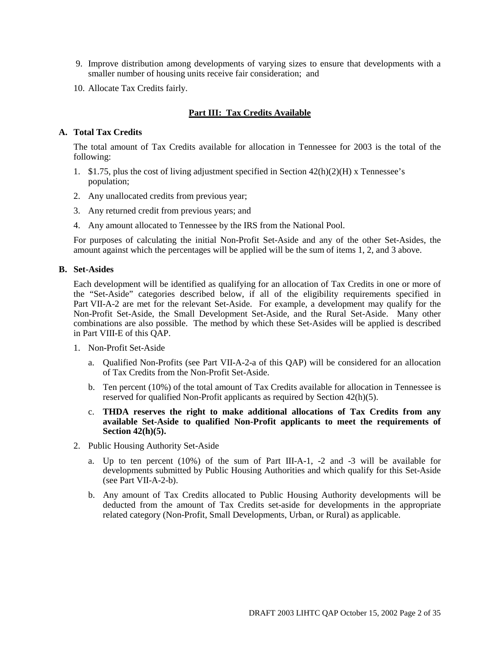- 9. Improve distribution among developments of varying sizes to ensure that developments with a smaller number of housing units receive fair consideration; and
- 10. Allocate Tax Credits fairly.

#### **Part III: Tax Credits Available**

#### **A. Total Tax Credits**

The total amount of Tax Credits available for allocation in Tennessee for 2003 is the total of the following:

- 1. \$1.75, plus the cost of living adjustment specified in Section  $42(h)(2)(H)$  x Tennessee's population;
- 2. Any unallocated credits from previous year;
- 3. Any returned credit from previous years; and
- 4. Any amount allocated to Tennessee by the IRS from the National Pool.

For purposes of calculating the initial Non-Profit Set-Aside and any of the other Set-Asides, the amount against which the percentages will be applied will be the sum of items 1, 2, and 3 above.

#### **B. Set-Asides**

Each development will be identified as qualifying for an allocation of Tax Credits in one or more of the "Set-Aside" categories described below, if all of the eligibility requirements specified in Part VII-A-2 are met for the relevant Set-Aside. For example, a development may qualify for the Non-Profit Set-Aside, the Small Development Set-Aside, and the Rural Set-Aside. Many other combinations are also possible. The method by which these Set-Asides will be applied is described in Part VIII-E of this QAP.

- 1. Non-Profit Set-Aside
	- a. Qualified Non-Profits (see Part VII-A-2-a of this QAP) will be considered for an allocation of Tax Credits from the Non-Profit Set-Aside.
	- b. Ten percent (10%) of the total amount of Tax Credits available for allocation in Tennessee is reserved for qualified Non-Profit applicants as required by Section 42(h)(5).
	- c. **THDA reserves the right to make additional allocations of Tax Credits from any available Set-Aside to qualified Non-Profit applicants to meet the requirements of Section 42(h)(5).**
- 2. Public Housing Authority Set-Aside
	- a. Up to ten percent (10%) of the sum of Part III-A-1, -2 and -3 will be available for developments submitted by Public Housing Authorities and which qualify for this Set-Aside (see Part VII-A-2-b).
	- b. Any amount of Tax Credits allocated to Public Housing Authority developments will be deducted from the amount of Tax Credits set-aside for developments in the appropriate related category (Non-Profit, Small Developments, Urban, or Rural) as applicable.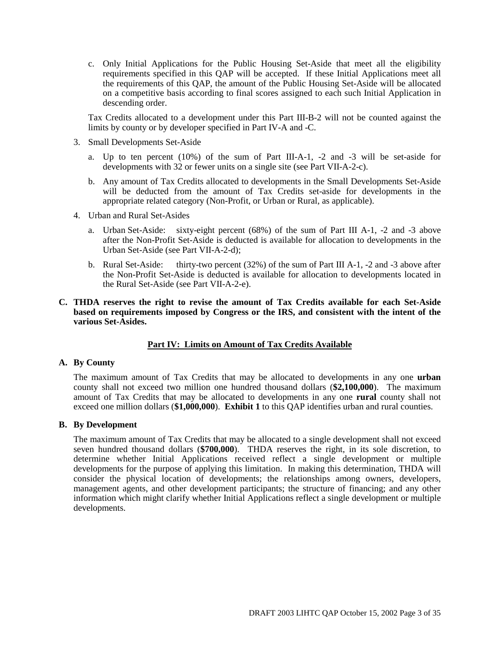c. Only Initial Applications for the Public Housing Set-Aside that meet all the eligibility requirements specified in this QAP will be accepted. If these Initial Applications meet all the requirements of this QAP, the amount of the Public Housing Set-Aside will be allocated on a competitive basis according to final scores assigned to each such Initial Application in descending order.

Tax Credits allocated to a development under this Part III-B-2 will not be counted against the limits by county or by developer specified in Part IV-A and -C.

- 3. Small Developments Set-Aside
	- a. Up to ten percent (10%) of the sum of Part III-A-1, -2 and -3 will be set-aside for developments with 32 or fewer units on a single site (see Part VII-A-2-c).
	- b. Any amount of Tax Credits allocated to developments in the Small Developments Set-Aside will be deducted from the amount of Tax Credits set-aside for developments in the appropriate related category (Non-Profit, or Urban or Rural, as applicable).
- 4. Urban and Rural Set-Asides
	- a. Urban Set-Aside: sixty-eight percent (68%) of the sum of Part III A-1, -2 and -3 above after the Non-Profit Set-Aside is deducted is available for allocation to developments in the Urban Set-Aside (see Part VII-A-2-d);
	- b. Rural Set-Aside: thirty-two percent (32%) of the sum of Part III A-1, -2 and -3 above after the Non-Profit Set-Aside is deducted is available for allocation to developments located in the Rural Set-Aside (see Part VII-A-2-e).
- **C. THDA reserves the right to revise the amount of Tax Credits available for each Set-Aside based on requirements imposed by Congress or the IRS, and consistent with the intent of the various Set-Asides.**

#### **Part IV: Limits on Amount of Tax Credits Available**

#### **A. By County**

The maximum amount of Tax Credits that may be allocated to developments in any one **urban** county shall not exceed two million one hundred thousand dollars (**\$2,100,000**). The maximum amount of Tax Credits that may be allocated to developments in any one **rural** county shall not exceed one million dollars (**\$1,000,000**). **Exhibit 1** to this QAP identifies urban and rural counties.

#### **B. By Development**

The maximum amount of Tax Credits that may be allocated to a single development shall not exceed seven hundred thousand dollars (**\$700,000**). THDA reserves the right, in its sole discretion, to determine whether Initial Applications received reflect a single development or multiple developments for the purpose of applying this limitation. In making this determination, THDA will consider the physical location of developments; the relationships among owners, developers, management agents, and other development participants; the structure of financing; and any other information which might clarify whether Initial Applications reflect a single development or multiple developments.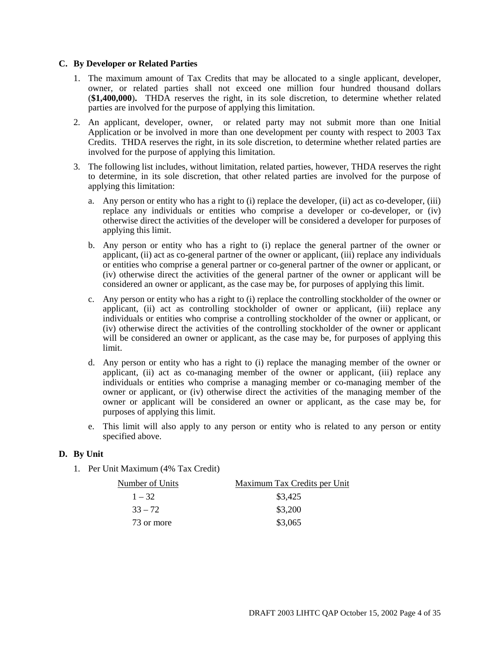#### **C. By Developer or Related Parties**

- 1. The maximum amount of Tax Credits that may be allocated to a single applicant, developer, owner, or related parties shall not exceed one million four hundred thousand dollars (**\$1,400,000**)**.** THDA reserves the right, in its sole discretion, to determine whether related parties are involved for the purpose of applying this limitation.
- 2. An applicant, developer, owner, or related party may not submit more than one Initial Application or be involved in more than one development per county with respect to 2003 Tax Credits. THDA reserves the right, in its sole discretion, to determine whether related parties are involved for the purpose of applying this limitation.
- 3. The following list includes, without limitation, related parties, however, THDA reserves the right to determine, in its sole discretion, that other related parties are involved for the purpose of applying this limitation:
	- a. Any person or entity who has a right to (i) replace the developer, (ii) act as co-developer, (iii) replace any individuals or entities who comprise a developer or co-developer, or (iv) otherwise direct the activities of the developer will be considered a developer for purposes of applying this limit.
	- b. Any person or entity who has a right to (i) replace the general partner of the owner or applicant, (ii) act as co-general partner of the owner or applicant, (iii) replace any individuals or entities who comprise a general partner or co-general partner of the owner or applicant, or (iv) otherwise direct the activities of the general partner of the owner or applicant will be considered an owner or applicant, as the case may be, for purposes of applying this limit.
	- c. Any person or entity who has a right to (i) replace the controlling stockholder of the owner or applicant, (ii) act as controlling stockholder of owner or applicant, (iii) replace any individuals or entities who comprise a controlling stockholder of the owner or applicant, or (iv) otherwise direct the activities of the controlling stockholder of the owner or applicant will be considered an owner or applicant, as the case may be, for purposes of applying this limit.
	- d. Any person or entity who has a right to (i) replace the managing member of the owner or applicant, (ii) act as co-managing member of the owner or applicant, (iii) replace any individuals or entities who comprise a managing member or co-managing member of the owner or applicant, or (iv) otherwise direct the activities of the managing member of the owner or applicant will be considered an owner or applicant, as the case may be, for purposes of applying this limit.
	- e. This limit will also apply to any person or entity who is related to any person or entity specified above.

#### **D. By Unit**

1. Per Unit Maximum (4% Tax Credit)

| Number of Units | Maximum Tax Credits per Unit |
|-----------------|------------------------------|
| $1 - 32$        | \$3,425                      |
| $33 - 72$       | \$3,200                      |
| 73 or more      | \$3,065                      |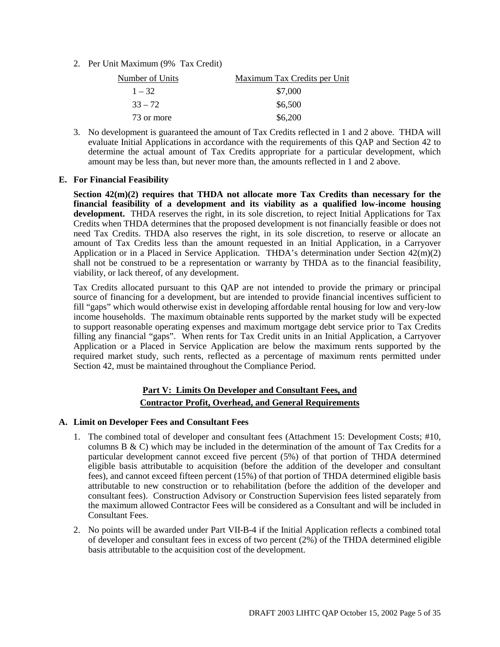2. Per Unit Maximum (9% Tax Credit)

| Number of Units | Maximum Tax Credits per Unit |
|-----------------|------------------------------|
| $1 - 32$        | \$7,000                      |
| $33 - 72$       | \$6,500                      |
| 73 or more      | \$6,200                      |

3. No development is guaranteed the amount of Tax Credits reflected in 1 and 2 above. THDA will evaluate Initial Applications in accordance with the requirements of this QAP and Section 42 to determine the actual amount of Tax Credits appropriate for a particular development, which amount may be less than, but never more than, the amounts reflected in 1 and 2 above.

#### **E. For Financial Feasibility**

**Section 42(m)(2) requires that THDA not allocate more Tax Credits than necessary for the financial feasibility of a development and its viability as a qualified low-income housing development.** THDA reserves the right, in its sole discretion, to reject Initial Applications for Tax Credits when THDA determines that the proposed development is not financially feasible or does not need Tax Credits. THDA also reserves the right, in its sole discretion, to reserve or allocate an amount of Tax Credits less than the amount requested in an Initial Application, in a Carryover Application or in a Placed in Service Application. THDA's determination under Section 42(m)(2) shall not be construed to be a representation or warranty by THDA as to the financial feasibility, viability, or lack thereof, of any development.

Tax Credits allocated pursuant to this QAP are not intended to provide the primary or principal source of financing for a development, but are intended to provide financial incentives sufficient to fill "gaps" which would otherwise exist in developing affordable rental housing for low and very-low income households. The maximum obtainable rents supported by the market study will be expected to support reasonable operating expenses and maximum mortgage debt service prior to Tax Credits filling any financial "gaps". When rents for Tax Credit units in an Initial Application, a Carryover Application or a Placed in Service Application are below the maximum rents supported by the required market study, such rents, reflected as a percentage of maximum rents permitted under Section 42, must be maintained throughout the Compliance Period.

#### **Part V: Limits On Developer and Consultant Fees, and Contractor Profit, Overhead, and General Requirements**

#### **A. Limit on Developer Fees and Consultant Fees**

- 1. The combined total of developer and consultant fees (Attachment 15: Development Costs; #10, columns B  $\&$  C) which may be included in the determination of the amount of Tax Credits for a particular development cannot exceed five percent (5%) of that portion of THDA determined eligible basis attributable to acquisition (before the addition of the developer and consultant fees), and cannot exceed fifteen percent (15%) of that portion of THDA determined eligible basis attributable to new construction or to rehabilitation (before the addition of the developer and consultant fees). Construction Advisory or Construction Supervision fees listed separately from the maximum allowed Contractor Fees will be considered as a Consultant and will be included in Consultant Fees.
- 2. No points will be awarded under Part VII-B-4 if the Initial Application reflects a combined total of developer and consultant fees in excess of two percent (2%) of the THDA determined eligible basis attributable to the acquisition cost of the development.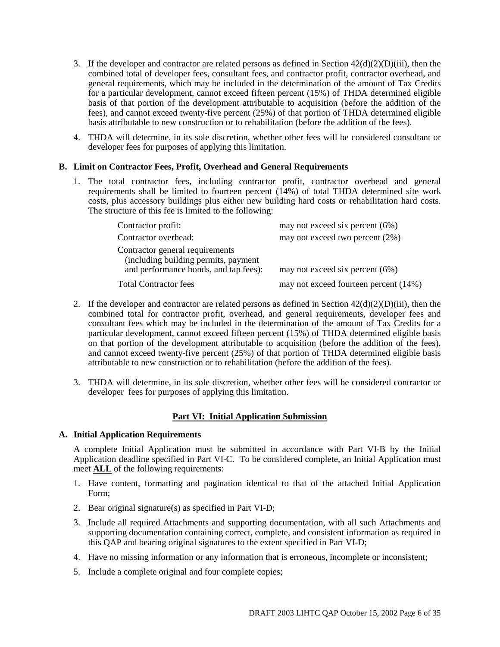- 3. If the developer and contractor are related persons as defined in Section  $42(d)(2)(D)(iii)$ , then the combined total of developer fees, consultant fees, and contractor profit, contractor overhead, and general requirements, which may be included in the determination of the amount of Tax Credits for a particular development, cannot exceed fifteen percent (15%) of THDA determined eligible basis of that portion of the development attributable to acquisition (before the addition of the fees), and cannot exceed twenty-five percent (25%) of that portion of THDA determined eligible basis attributable to new construction or to rehabilitation (before the addition of the fees).
- 4. THDA will determine, in its sole discretion, whether other fees will be considered consultant or developer fees for purposes of applying this limitation.

#### **B. Limit on Contractor Fees, Profit, Overhead and General Requirements**

1. The total contractor fees, including contractor profit, contractor overhead and general requirements shall be limited to fourteen percent (14%) of total THDA determined site work costs, plus accessory buildings plus either new building hard costs or rehabilitation hard costs. The structure of this fee is limited to the following:

| Contractor profit:                                                                                               | may not exceed six percent $(6%)$     |
|------------------------------------------------------------------------------------------------------------------|---------------------------------------|
| Contractor overhead:                                                                                             | may not exceed two percent (2%)       |
| Contractor general requirements<br>(including building permits, payment<br>and performance bonds, and tap fees): | may not exceed six percent $(6%)$     |
| <b>Total Contractor fees</b>                                                                                     | may not exceed fourteen percent (14%) |
|                                                                                                                  |                                       |

- 2. If the developer and contractor are related persons as defined in Section  $42(d)(2)(D)(iii)$ , then the combined total for contractor profit, overhead, and general requirements, developer fees and consultant fees which may be included in the determination of the amount of Tax Credits for a particular development, cannot exceed fifteen percent (15%) of THDA determined eligible basis on that portion of the development attributable to acquisition (before the addition of the fees), and cannot exceed twenty-five percent (25%) of that portion of THDA determined eligible basis attributable to new construction or to rehabilitation (before the addition of the fees).
- 3. THDA will determine, in its sole discretion, whether other fees will be considered contractor or developer fees for purposes of applying this limitation.

#### **Part VI: Initial Application Submission**

#### **A. Initial Application Requirements**

A complete Initial Application must be submitted in accordance with Part VI-B by the Initial Application deadline specified in Part VI-C. To be considered complete, an Initial Application must meet **ALL** of the following requirements:

- 1. Have content, formatting and pagination identical to that of the attached Initial Application Form;
- 2. Bear original signature(s) as specified in Part VI-D;
- 3. Include all required Attachments and supporting documentation, with all such Attachments and supporting documentation containing correct, complete, and consistent information as required in this QAP and bearing original signatures to the extent specified in Part VI-D;
- 4. Have no missing information or any information that is erroneous, incomplete or inconsistent;
- 5. Include a complete original and four complete copies;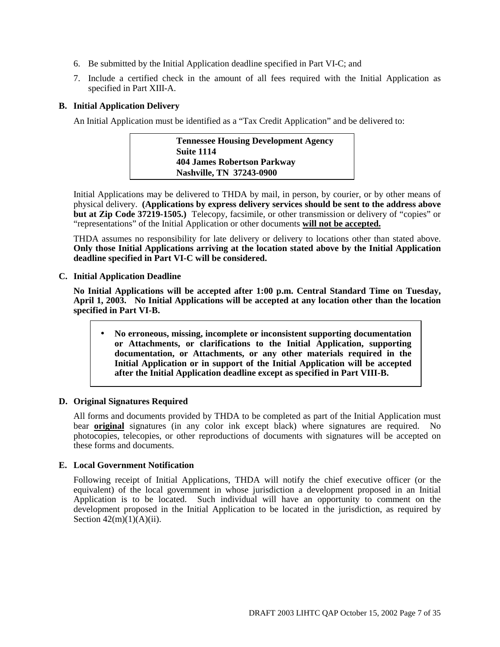- 6. Be submitted by the Initial Application deadline specified in Part VI-C; and
- 7. Include a certified check in the amount of all fees required with the Initial Application as specified in Part XIII-A.

#### **B. Initial Application Delivery**

An Initial Application must be identified as a "Tax Credit Application" and be delivered to:

| <b>Tennessee Housing Development Agency</b> |
|---------------------------------------------|
| Suite 1114                                  |
| <b>404 James Robertson Parkway</b>          |
| Nashville, TN 37243-0900                    |

Initial Applications may be delivered to THDA by mail, in person, by courier, or by other means of physical delivery. **(Applications by express delivery services should be sent to the address above but at Zip Code 37219-1505.)** Telecopy, facsimile, or other transmission or delivery of "copies" or "representations" of the Initial Application or other documents **will not be accepted.**

THDA assumes no responsibility for late delivery or delivery to locations other than stated above. **Only those Initial Applications arriving at the location stated above by the Initial Application deadline specified in Part VI-C will be considered.**

**C. Initial Application Deadline**

**No Initial Applications will be accepted after 1:00 p.m. Central Standard Time on Tuesday, April 1, 2003. No Initial Applications will be accepted at any location other than the location specified in Part VI-B.**

• **No erroneous, missing, incomplete or inconsistent supporting documentation or Attachments, or clarifications to the Initial Application, supporting documentation, or Attachments, or any other materials required in the Initial Application or in support of the Initial Application will be accepted after the Initial Application deadline except as specified in Part VIII-B.**

#### **D. Original Signatures Required**

All forms and documents provided by THDA to be completed as part of the Initial Application must bear **original** signatures (in any color ink except black) where signatures are required. No photocopies, telecopies, or other reproductions of documents with signatures will be accepted on these forms and documents.

#### **E. Local Government Notification**

Following receipt of Initial Applications, THDA will notify the chief executive officer (or the equivalent) of the local government in whose jurisdiction a development proposed in an Initial Application is to be located. Such individual will have an opportunity to comment on the development proposed in the Initial Application to be located in the jurisdiction, as required by Section  $42(m)(1)(A)(ii)$ .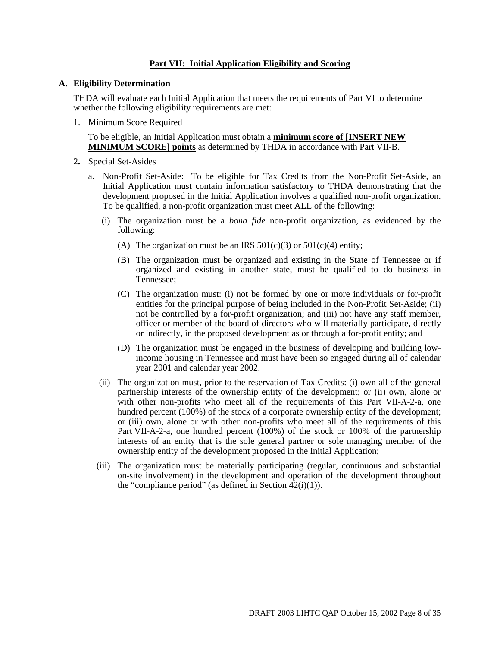#### **Part VII: Initial Application Eligibility and Scoring**

#### **A. Eligibility Determination**

THDA will evaluate each Initial Application that meets the requirements of Part VI to determine whether the following eligibility requirements are met:

1. Minimum Score Required

To be eligible, an Initial Application must obtain a **minimum score of [INSERT NEW MINIMUM SCORE] points** as determined by THDA in accordance with Part VII-B.

- 2**.** Special Set-Asides
	- a. Non-Profit Set-Aside: To be eligible for Tax Credits from the Non-Profit Set-Aside, an Initial Application must contain information satisfactory to THDA demonstrating that the development proposed in the Initial Application involves a qualified non-profit organization. To be qualified, a non-profit organization must meet ALL of the following:
		- (i) The organization must be a *bona fide* non-profit organization, as evidenced by the following:
			- (A) The organization must be an IRS  $501(c)(3)$  or  $501(c)(4)$  entity;
			- (B) The organization must be organized and existing in the State of Tennessee or if organized and existing in another state, must be qualified to do business in Tennessee;
			- (C) The organization must: (i) not be formed by one or more individuals or for-profit entities for the principal purpose of being included in the Non-Profit Set-Aside; (ii) not be controlled by a for-profit organization; and (iii) not have any staff member, officer or member of the board of directors who will materially participate, directly or indirectly, in the proposed development as or through a for-profit entity; and
			- (D) The organization must be engaged in the business of developing and building lowincome housing in Tennessee and must have been so engaged during all of calendar year 2001 and calendar year 2002.
		- (ii) The organization must, prior to the reservation of Tax Credits: (i) own all of the general partnership interests of the ownership entity of the development; or (ii) own, alone or with other non-profits who meet all of the requirements of this Part VII-A-2-a, one hundred percent (100%) of the stock of a corporate ownership entity of the development; or (iii) own, alone or with other non-profits who meet all of the requirements of this Part VII-A-2-a, one hundred percent (100%) of the stock or 100% of the partnership interests of an entity that is the sole general partner or sole managing member of the ownership entity of the development proposed in the Initial Application;
		- (iii) The organization must be materially participating (regular, continuous and substantial on-site involvement) in the development and operation of the development throughout the "compliance period" (as defined in Section  $\overline{42(i)(1)}$ ).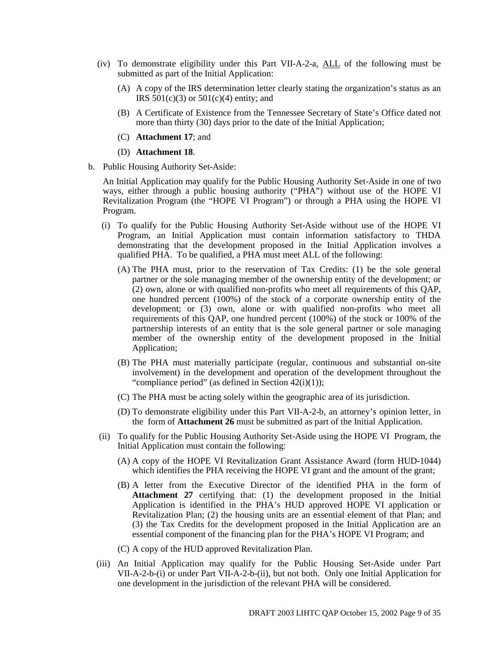- (iv) To demonstrate eligibility under this Part VII-A-2-a, ALL of the following must be submitted as part of the Initial Application:
	- (A) A copy of the IRS determination letter clearly stating the organization's status as an IRS  $501(c)(3)$  or  $501(c)(4)$  entity; and
	- (B) A Certificate of Existence from the Tennessee Secretary of State's Office dated not more than thirty (30) days prior to the date of the Initial Application;
	- (C) **Attachment 17**; and
	- (D) **Attachment 18**.
- b. Public Housing Authority Set-Aside:

An Initial Application may qualify for the Public Housing Authority Set-Aside in one of two ways, either through a public housing authority ("PHA") without use of the HOPE VI Revitalization Program (the "HOPE VI Program") or through a PHA using the HOPE VI Program.

- (i) To qualify for the Public Housing Authority Set-Aside without use of the HOPE VI Program, an Initial Application must contain information satisfactory to THDA demonstrating that the development proposed in the Initial Application involves a qualified PHA. To be qualified, a PHA must meet ALL of the following:
	- (A) The PHA must, prior to the reservation of Tax Credits: (1) be the sole general partner or the sole managing member of the ownership entity of the development; or (2) own, alone or with qualified non-profits who meet all requirements of this QAP, one hundred percent (100%) of the stock of a corporate ownership entity of the development; or (3) own, alone or with qualified non-profits who meet all requirements of this QAP, one hundred percent (100%) of the stock or 100% of the partnership interests of an entity that is the sole general partner or sole managing member of the ownership entity of the development proposed in the Initial Application;
	- (B) The PHA must materially participate (regular, continuous and substantial on-site involvement) in the development and operation of the development throughout the "compliance period" (as defined in Section  $42(i)(1)$ );
	- (C) The PHA must be acting solely within the geographic area of its jurisdiction.
	- (D) To demonstrate eligibility under this Part VII-A-2-b, an attorney's opinion letter, in the form of **Attachment 26** must be submitted as part of the Initial Application.
- (ii) To qualify for the Public Housing Authority Set-Aside using the HOPE VI Program, the Initial Application must contain the following:
	- (A) A copy of the HOPE VI Revitalization Grant Assistance Award (form HUD-1044) which identifies the PHA receiving the HOPE VI grant and the amount of the grant;
	- (B) A letter from the Executive Director of the identified PHA in the form of **Attachment 27** certifying that: (1) the development proposed in the Initial Application is identified in the PHA's HUD approved HOPE VI application or Revitalization Plan; (2) the housing units are an essential element of that Plan; and (3) the Tax Credits for the development proposed in the Initial Application are an essential component of the financing plan for the PHA's HOPE VI Program; and
	- (C) A copy of the HUD approved Revitalization Plan.
- (iii) An Initial Application may qualify for the Public Housing Set-Aside under Part VII-A-2-b-(i) or under Part VII-A-2-b-(ii), but not both. Only one Initial Application for one development in the jurisdiction of the relevant PHA will be considered.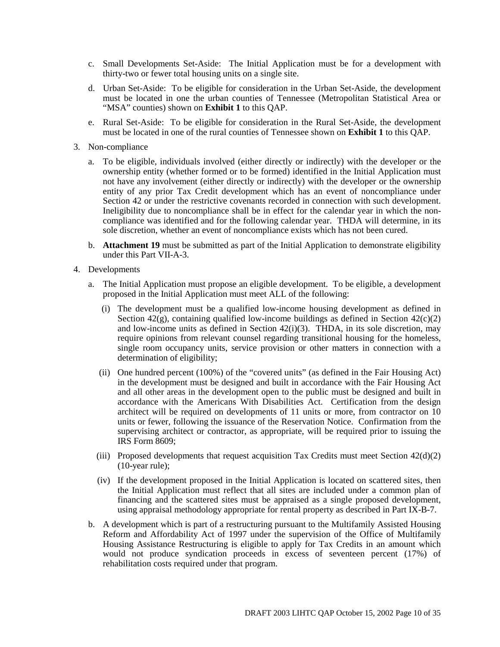- c. Small Developments Set-Aside: The Initial Application must be for a development with thirty-two or fewer total housing units on a single site.
- d. Urban Set-Aside: To be eligible for consideration in the Urban Set-Aside, the development must be located in one the urban counties of Tennessee (Metropolitan Statistical Area or "MSA" counties) shown on **Exhibit 1** to this QAP.
- e. Rural Set-Aside: To be eligible for consideration in the Rural Set-Aside, the development must be located in one of the rural counties of Tennessee shown on **Exhibit 1** to this QAP.
- 3. Non-compliance
	- a. To be eligible, individuals involved (either directly or indirectly) with the developer or the ownership entity (whether formed or to be formed) identified in the Initial Application must not have any involvement (either directly or indirectly) with the developer or the ownership entity of any prior Tax Credit development which has an event of noncompliance under Section 42 or under the restrictive covenants recorded in connection with such development. Ineligibility due to noncompliance shall be in effect for the calendar year in which the noncompliance was identified and for the following calendar year. THDA will determine, in its sole discretion, whether an event of noncompliance exists which has not been cured.
	- b. **Attachment 19** must be submitted as part of the Initial Application to demonstrate eligibility under this Part VII-A-3.
- 4. Developments
	- a. The Initial Application must propose an eligible development. To be eligible, a development proposed in the Initial Application must meet ALL of the following:
		- (i) The development must be a qualified low-income housing development as defined in Section  $42(g)$ , containing qualified low-income buildings as defined in Section  $42(c)(2)$ and low-income units as defined in Section 42(i)(3). THDA, in its sole discretion, may require opinions from relevant counsel regarding transitional housing for the homeless, single room occupancy units, service provision or other matters in connection with a determination of eligibility;
		- (ii) One hundred percent (100%) of the "covered units" (as defined in the Fair Housing Act) in the development must be designed and built in accordance with the Fair Housing Act and all other areas in the development open to the public must be designed and built in accordance with the Americans With Disabilities Act. Certification from the design architect will be required on developments of 11 units or more, from contractor on 10 units or fewer, following the issuance of the Reservation Notice. Confirmation from the supervising architect or contractor, as appropriate, will be required prior to issuing the IRS Form 8609;
		- (iii) Proposed developments that request acquisition Tax Credits must meet Section  $42(d)(2)$ (10-year rule);
		- (iv) If the development proposed in the Initial Application is located on scattered sites, then the Initial Application must reflect that all sites are included under a common plan of financing and the scattered sites must be appraised as a single proposed development, using appraisal methodology appropriate for rental property as described in Part IX-B-7.
	- b. A development which is part of a restructuring pursuant to the Multifamily Assisted Housing Reform and Affordability Act of 1997 under the supervision of the Office of Multifamily Housing Assistance Restructuring is eligible to apply for Tax Credits in an amount which would not produce syndication proceeds in excess of seventeen percent (17%) of rehabilitation costs required under that program.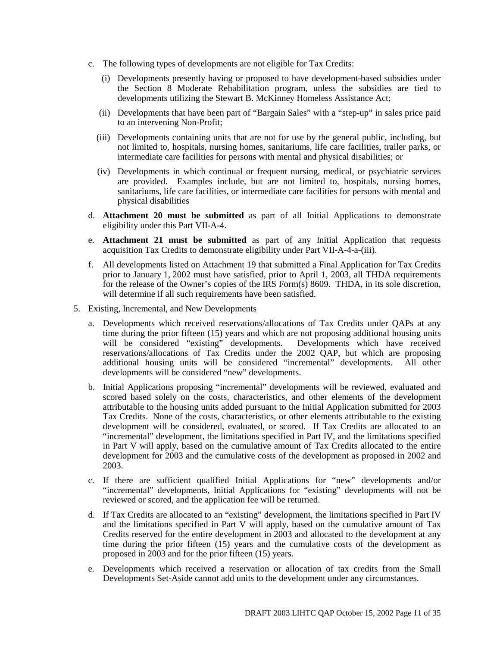- c. The following types of developments are not eligible for Tax Credits:
	- (i) Developments presently having or proposed to have development-based subsidies under the Section 8 Moderate Rehabilitation program, unless the subsidies are tied to developments utilizing the Stewart B. McKinney Homeless Assistance Act;
	- (ii) Developments that have been part of "Bargain Sales" with a "step-up" in sales price paid to an intervening Non-Profit;
	- (iii) Developments containing units that are not for use by the general public, including, but not limited to, hospitals, nursing homes, sanitariums, life care facilities, trailer parks, or intermediate care facilities for persons with mental and physical disabilities; or
	- (iv) Developments in which continual or frequent nursing, medical, or psychiatric services are provided. Examples include, but are not limited to, hospitals, nursing homes, sanitariums, life care facilities, or intermediate care facilities for persons with mental and physical disabilities
- d. **Attachment 20 must be submitted** as part of all Initial Applications to demonstrate eligibility under this Part VII-A-4.
- e. **Attachment 21 must be submitted** as part of any Initial Application that requests acquisition Tax Credits to demonstrate eligibility under Part VII-A-4-a-(iii).
- f. All developments listed on Attachment 19 that submitted a Final Application for Tax Credits prior to January 1, 2002 must have satisfied, prior to April 1, 2003, all THDA requirements for the release of the Owner's copies of the IRS Form(s) 8609. THDA, in its sole discretion, will determine if all such requirements have been satisfied.
- 5. Existing, Incremental, and New Developments
	- a. Developments which received reservations/allocations of Tax Credits under QAPs at any time during the prior fifteen (15) years and which are not proposing additional housing units will be considered "existing" developments. Developments which have received reservations/allocations of Tax Credits under the 2002 QAP, but which are proposing additional housing units will be considered "incremental" developments. All other developments will be considered "new" developments.
	- b. Initial Applications proposing "incremental" developments will be reviewed, evaluated and scored based solely on the costs, characteristics, and other elements of the development attributable to the housing units added pursuant to the Initial Application submitted for 2003 Tax Credits. None of the costs, characteristics, or other elements attributable to the existing development will be considered, evaluated, or scored. If Tax Credits are allocated to an "incremental" development, the limitations specified in Part IV, and the limitations specified in Part V will apply, based on the cumulative amount of Tax Credits allocated to the entire development for 2003 and the cumulative costs of the development as proposed in 2002 and 2003.
	- c. If there are sufficient qualified Initial Applications for "new" developments and/or "incremental" developments, Initial Applications for "existing" developments will not be reviewed or scored, and the application fee will be returned.
	- d. If Tax Credits are allocated to an "existing" development, the limitations specified in Part IV and the limitations specified in Part V will apply, based on the cumulative amount of Tax Credits reserved for the entire development in 2003 and allocated to the development at any time during the prior fifteen (15) years and the cumulative costs of the development as proposed in 2003 and for the prior fifteen (15) years.
	- e. Developments which received a reservation or allocation of tax credits from the Small Developments Set-Aside cannot add units to the development under any circumstances.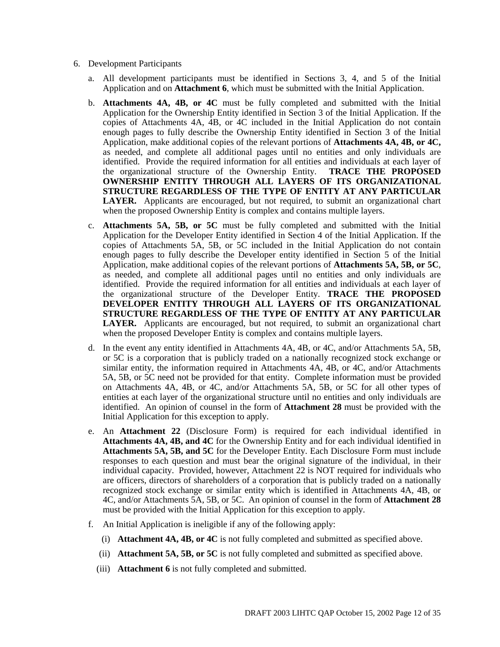- 6. Development Participants
	- a. All development participants must be identified in Sections 3, 4, and 5 of the Initial Application and on **Attachment 6**, which must be submitted with the Initial Application.
	- b. **Attachments 4A, 4B, or 4C** must be fully completed and submitted with the Initial Application for the Ownership Entity identified in Section 3 of the Initial Application. If the copies of Attachments 4A, 4B, or 4C included in the Initial Application do not contain enough pages to fully describe the Ownership Entity identified in Section 3 of the Initial Application, make additional copies of the relevant portions of **Attachments 4A, 4B, or 4C,** as needed, and complete all additional pages until no entities and only individuals are identified. Provide the required information for all entities and individuals at each layer of the organizational structure of the Ownership Entity. **TRACE THE PROPOSED OWNERSHIP ENTITY THROUGH ALL LAYERS OF ITS ORGANIZATIONAL STRUCTURE REGARDLESS OF THE TYPE OF ENTITY AT ANY PARTICULAR LAYER.** Applicants are encouraged, but not required, to submit an organizational chart when the proposed Ownership Entity is complex and contains multiple layers.
	- c. **Attachments 5A, 5B, or 5C** must be fully completed and submitted with the Initial Application for the Developer Entity identified in Section 4 of the Initial Application. If the copies of Attachments 5A, 5B, or 5C included in the Initial Application do not contain enough pages to fully describe the Developer entity identified in Section 5 of the Initial Application, make additional copies of the relevant portions of **Attachments 5A, 5B, or 5C**, as needed, and complete all additional pages until no entities and only individuals are identified. Provide the required information for all entities and individuals at each layer of the organizational structure of the Developer Entity. **TRACE THE PROPOSED DEVELOPER ENTITY THROUGH ALL LAYERS OF ITS ORGANIZATIONAL STRUCTURE REGARDLESS OF THE TYPE OF ENTITY AT ANY PARTICULAR LAYER.** Applicants are encouraged, but not required, to submit an organizational chart when the proposed Developer Entity is complex and contains multiple layers.
	- d. In the event any entity identified in Attachments 4A, 4B, or 4C, and/or Attachments 5A, 5B, or 5C is a corporation that is publicly traded on a nationally recognized stock exchange or similar entity, the information required in Attachments 4A, 4B, or 4C, and/or Attachments 5A, 5B, or 5C need not be provided for that entity. Complete information must be provided on Attachments 4A, 4B, or 4C, and/or Attachments 5A, 5B, or 5C for all other types of entities at each layer of the organizational structure until no entities and only individuals are identified. An opinion of counsel in the form of **Attachment 28** must be provided with the Initial Application for this exception to apply.
	- e. An **Attachment 22** (Disclosure Form) is required for each individual identified in **Attachments 4A, 4B, and 4C** for the Ownership Entity and for each individual identified in **Attachments 5A, 5B, and 5C** for the Developer Entity. Each Disclosure Form must include responses to each question and must bear the original signature of the individual, in their individual capacity. Provided, however, Attachment 22 is NOT required for individuals who are officers, directors of shareholders of a corporation that is publicly traded on a nationally recognized stock exchange or similar entity which is identified in Attachments 4A, 4B, or 4C, and/or Attachments 5A, 5B, or 5C. An opinion of counsel in the form of **Attachment 28** must be provided with the Initial Application for this exception to apply.
	- f. An Initial Application is ineligible if any of the following apply:
		- (i) **Attachment 4A, 4B, or 4C** is not fully completed and submitted as specified above.
		- (ii) **Attachment 5A, 5B, or 5C** is not fully completed and submitted as specified above.
		- (iii) **Attachment 6** is not fully completed and submitted.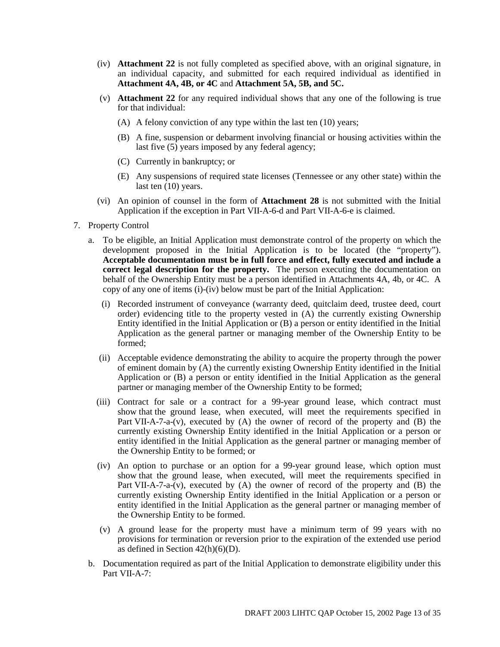- (iv) **Attachment 22** is not fully completed as specified above, with an original signature, in an individual capacity, and submitted for each required individual as identified in **Attachment 4A, 4B, or 4C** and **Attachment 5A, 5B, and 5C.**
- (v) **Attachment 22** for any required individual shows that any one of the following is true for that individual:
	- (A) A felony conviction of any type within the last ten (10) years;
	- (B) A fine, suspension or debarment involving financial or housing activities within the last five (5) years imposed by any federal agency;
	- (C) Currently in bankruptcy; or
	- (E) Any suspensions of required state licenses (Tennessee or any other state) within the last ten  $(10)$  years.
- (vi) An opinion of counsel in the form of **Attachment 28** is not submitted with the Initial Application if the exception in Part VII-A-6-d and Part VII-A-6-e is claimed.
- 7. Property Control
	- a. To be eligible, an Initial Application must demonstrate control of the property on which the development proposed in the Initial Application is to be located (the "property"). **Acceptable documentation must be in full force and effect, fully executed and include a correct legal description for the property.** The person executing the documentation on behalf of the Ownership Entity must be a person identified in Attachments 4A, 4b, or 4C. A copy of any one of items (i)-(iv) below must be part of the Initial Application:
		- (i) Recorded instrument of conveyance (warranty deed, quitclaim deed, trustee deed, court order) evidencing title to the property vested in (A) the currently existing Ownership Entity identified in the Initial Application or (B) a person or entity identified in the Initial Application as the general partner or managing member of the Ownership Entity to be formed;
		- (ii) Acceptable evidence demonstrating the ability to acquire the property through the power of eminent domain by (A) the currently existing Ownership Entity identified in the Initial Application or (B) a person or entity identified in the Initial Application as the general partner or managing member of the Ownership Entity to be formed;
		- (iii) Contract for sale or a contract for a 99-year ground lease, which contract must show that the ground lease, when executed, will meet the requirements specified in Part VII-A-7-a-(v), executed by (A) the owner of record of the property and (B) the currently existing Ownership Entity identified in the Initial Application or a person or entity identified in the Initial Application as the general partner or managing member of the Ownership Entity to be formed; or
		- (iv) An option to purchase or an option for a 99-year ground lease, which option must show that the ground lease, when executed, will meet the requirements specified in Part VII-A-7-a- $(v)$ , executed by  $(A)$  the owner of record of the property and  $(B)$  the currently existing Ownership Entity identified in the Initial Application or a person or entity identified in the Initial Application as the general partner or managing member of the Ownership Entity to be formed.
		- (v) A ground lease for the property must have a minimum term of 99 years with no provisions for termination or reversion prior to the expiration of the extended use period as defined in Section  $42(h)(6)(D)$ .
	- b. Documentation required as part of the Initial Application to demonstrate eligibility under this Part VII-A-7: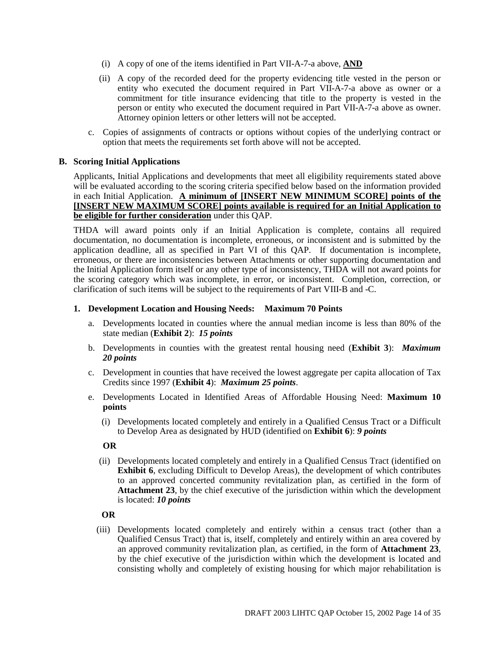- (i) A copy of one of the items identified in Part VII-A-7-a above, **AND**
- (ii) A copy of the recorded deed for the property evidencing title vested in the person or entity who executed the document required in Part VII-A-7-a above as owner or a commitment for title insurance evidencing that title to the property is vested in the person or entity who executed the document required in Part VII-A-7-a above as owner. Attorney opinion letters or other letters will not be accepted.
- c. Copies of assignments of contracts or options without copies of the underlying contract or option that meets the requirements set forth above will not be accepted.

#### **B. Scoring Initial Applications**

Applicants, Initial Applications and developments that meet all eligibility requirements stated above will be evaluated according to the scoring criteria specified below based on the information provided in each Initial Application. **A minimum of [INSERT NEW MINIMUM SCORE] points of the [INSERT NEW MAXIMUM SCORE] points available is required for an Initial Application to be eligible for further consideration** under this QAP.

THDA will award points only if an Initial Application is complete, contains all required documentation, no documentation is incomplete, erroneous, or inconsistent and is submitted by the application deadline, all as specified in Part VI of this QAP. If documentation is incomplete, erroneous, or there are inconsistencies between Attachments or other supporting documentation and the Initial Application form itself or any other type of inconsistency, THDA will not award points for the scoring category which was incomplete, in error, or inconsistent. Completion, correction, or clarification of such items will be subject to the requirements of Part VIII-B and -C.

#### **1. Development Location and Housing Needs: Maximum 70 Points**

- a. Developments located in counties where the annual median income is less than 80% of the state median (**Exhibit 2**): *15 points*
- b. Developments in counties with the greatest rental housing need (**Exhibit 3**): *Maximum 20 points*
- c. Development in counties that have received the lowest aggregate per capita allocation of Tax Credits since 1997 (**Exhibit 4**): *Maximum 25 points*.
- e. Developments Located in Identified Areas of Affordable Housing Need: **Maximum 10 points**
	- (i) Developments located completely and entirely in a Qualified Census Tract or a Difficult to Develop Area as designated by HUD (identified on **Exhibit 6**): *9 points*

#### **OR**

(ii) Developments located completely and entirely in a Qualified Census Tract (identified on **Exhibit 6**, excluding Difficult to Develop Areas), the development of which contributes to an approved concerted community revitalization plan, as certified in the form of **Attachment 23**, by the chief executive of the jurisdiction within which the development is located: *10 points*

#### **OR**

(iii) Developments located completely and entirely within a census tract (other than a Qualified Census Tract) that is, itself, completely and entirely within an area covered by an approved community revitalization plan, as certified, in the form of **Attachment 23**, by the chief executive of the jurisdiction within which the development is located and consisting wholly and completely of existing housing for which major rehabilitation is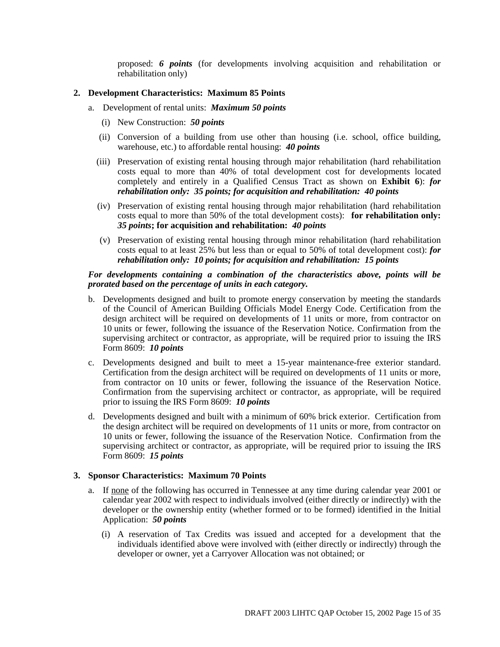proposed: *6 points* (for developments involving acquisition and rehabilitation or rehabilitation only)

#### **2. Development Characteristics: Maximum 85 Points**

- a. Development of rental units: *Maximum 50 points*
	- (i) New Construction: *50 points*
	- (ii) Conversion of a building from use other than housing (i.e. school, office building, warehouse, etc.) to affordable rental housing: *40 points*
	- (iii) Preservation of existing rental housing through major rehabilitation (hard rehabilitation costs equal to more than 40% of total development cost for developments located completely and entirely in a Qualified Census Tract as shown on **Exhibit 6**): *for rehabilitation only: 35 points; for acquisition and rehabilitation: 40 points*
	- (iv) Preservation of existing rental housing through major rehabilitation (hard rehabilitation costs equal to more than 50% of the total development costs): **for rehabilitation only:** *35 points***; for acquisition and rehabilitation:** *40 points*
	- (v) Preservation of existing rental housing through minor rehabilitation (hard rehabilitation costs equal to at least 25% but less than or equal to 50% of total development cost): *for rehabilitation only: 10 points; for acquisition and rehabilitation: 15 points*

#### *For developments containing a combination of the characteristics above, points will be prorated based on the percentage of units in each category.*

- b. Developments designed and built to promote energy conservation by meeting the standards of the Council of American Building Officials Model Energy Code. Certification from the design architect will be required on developments of 11 units or more, from contractor on 10 units or fewer, following the issuance of the Reservation Notice. Confirmation from the supervising architect or contractor, as appropriate, will be required prior to issuing the IRS Form 8609: *10 points*
- c. Developments designed and built to meet a 15-year maintenance-free exterior standard. Certification from the design architect will be required on developments of 11 units or more, from contractor on 10 units or fewer, following the issuance of the Reservation Notice. Confirmation from the supervising architect or contractor, as appropriate, will be required prior to issuing the IRS Form 8609: *10 points*
- d. Developments designed and built with a minimum of 60% brick exterior. Certification from the design architect will be required on developments of 11 units or more, from contractor on 10 units or fewer, following the issuance of the Reservation Notice. Confirmation from the supervising architect or contractor, as appropriate, will be required prior to issuing the IRS Form 8609: *15 points*

#### **3. Sponsor Characteristics: Maximum 70 Points**

- a. If none of the following has occurred in Tennessee at any time during calendar year 2001 or calendar year 2002 with respect to individuals involved (either directly or indirectly) with the developer or the ownership entity (whether formed or to be formed) identified in the Initial Application: *50 points*
	- (i) A reservation of Tax Credits was issued and accepted for a development that the individuals identified above were involved with (either directly or indirectly) through the developer or owner, yet a Carryover Allocation was not obtained; or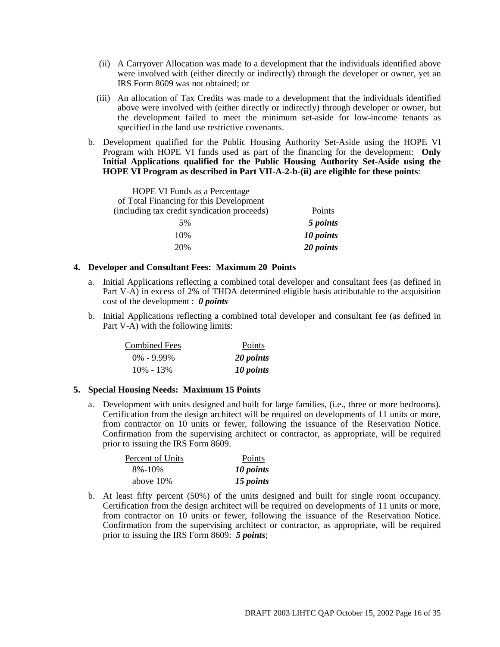- (ii) A Carryover Allocation was made to a development that the individuals identified above were involved with (either directly or indirectly) through the developer or owner, yet an IRS Form 8609 was not obtained; or
- (iii) An allocation of Tax Credits was made to a development that the individuals identified above were involved with (either directly or indirectly) through developer or owner, but the development failed to meet the minimum set-aside for low-income tenants as specified in the land use restrictive covenants.
- b. Development qualified for the Public Housing Authority Set-Aside using the HOPE VI Program with HOPE VI funds used as part of the financing for the development: **Only Initial Applications qualified for the Public Housing Authority Set-Aside using the HOPE VI Program as described in Part VII-A-2-b-(ii) are eligible for these points**:

| HOPE VI Funds as a Percentage               |           |
|---------------------------------------------|-----------|
| of Total Financing for this Development     |           |
| (including tax credit syndication proceeds) | Points    |
| 5%                                          | 5 points  |
| 10%                                         | 10 points |
| 20%                                         | 20 points |

#### **4. Developer and Consultant Fees: Maximum 20 Points**

- a. Initial Applications reflecting a combined total developer and consultant fees (as defined in Part V-A) in excess of 2% of THDA determined eligible basis attributable to the acquisition cost of the development : *0 points*
- b. Initial Applications reflecting a combined total developer and consultant fee (as defined in Part V-A) with the following limits:

| <b>Combined Fees</b> | <b>Points</b> |
|----------------------|---------------|
| $0\% - 9.99\%$       | 20 points     |
| $10\% - 13\%$        | 10 points     |

#### **5. Special Housing Needs: Maximum 15 Points**

a. Development with units designed and built for large families, (i.e., three or more bedrooms). Certification from the design architect will be required on developments of 11 units or more, from contractor on 10 units or fewer, following the issuance of the Reservation Notice. Confirmation from the supervising architect or contractor, as appropriate, will be required prior to issuing the IRS Form 8609.

| Percent of Units | Points    |
|------------------|-----------|
| $8\% - 10\%$     | 10 points |
| above 10\%       | 15 points |

b. At least fifty percent (50%) of the units designed and built for single room occupancy. Certification from the design architect will be required on developments of 11 units or more, from contractor on 10 units or fewer, following the issuance of the Reservation Notice. Confirmation from the supervising architect or contractor, as appropriate, will be required prior to issuing the IRS Form 8609: *5 points*;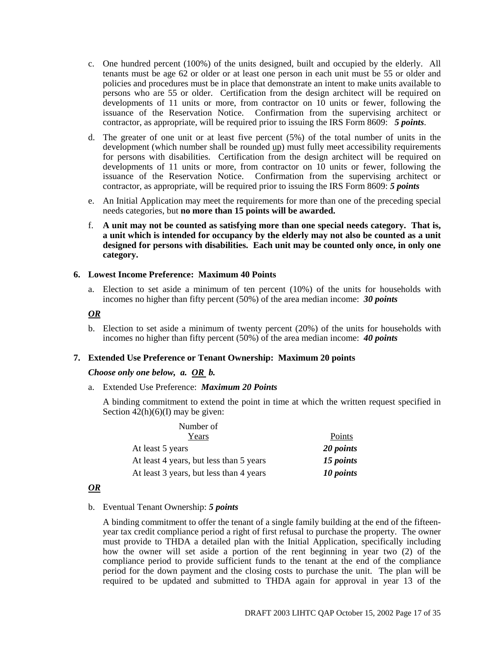- c. One hundred percent (100%) of the units designed, built and occupied by the elderly. All tenants must be age 62 or older or at least one person in each unit must be 55 or older and policies and procedures must be in place that demonstrate an intent to make units available to persons who are 55 or older. Certification from the design architect will be required on developments of 11 units or more, from contractor on 10 units or fewer, following the issuance of the Reservation Notice. Confirmation from the supervising architect or contractor, as appropriate, will be required prior to issuing the IRS Form 8609: *5 points*.
- d. The greater of one unit or at least five percent (5%) of the total number of units in the development (which number shall be rounded up) must fully meet accessibility requirements for persons with disabilities. Certification from the design architect will be required on developments of 11 units or more, from contractor on 10 units or fewer, following the issuance of the Reservation Notice. Confirmation from the supervising architect or contractor, as appropriate, will be required prior to issuing the IRS Form 8609: *5 points*
- e. An Initial Application may meet the requirements for more than one of the preceding special needs categories, but **no more than 15 points will be awarded.**
- f. **A unit may not be counted as satisfying more than one special needs category. That is, a unit which is intended for occupancy by the elderly may not also be counted as a unit designed for persons with disabilities. Each unit may be counted only once, in only one category.**

#### **6. Lowest Income Preference: Maximum 40 Points**

a. Election to set aside a minimum of ten percent (10%) of the units for households with incomes no higher than fifty percent (50%) of the area median income: *30 points*

#### *OR*

b. Election to set aside a minimum of twenty percent (20%) of the units for households with incomes no higher than fifty percent (50%) of the area median income: *40 points*

#### **7. Extended Use Preference or Tenant Ownership: Maximum 20 points**

#### *Choose only one below, a. OR b.*

a. Extended Use Preference: *Maximum 20 Points*

A binding commitment to extend the point in time at which the written request specified in Section  $\frac{42(h)(6)}{I}$  may be given:

| Number of                               |           |
|-----------------------------------------|-----------|
| Years                                   | Points    |
| At least 5 years                        | 20 points |
| At least 4 years, but less than 5 years | 15 points |
| At least 3 years, but less than 4 years | 10 points |

#### *OR*

#### b. Eventual Tenant Ownership: *5 points*

A binding commitment to offer the tenant of a single family building at the end of the fifteenyear tax credit compliance period a right of first refusal to purchase the property. The owner must provide to THDA a detailed plan with the Initial Application, specifically including how the owner will set aside a portion of the rent beginning in year two (2) of the compliance period to provide sufficient funds to the tenant at the end of the compliance period for the down payment and the closing costs to purchase the unit. The plan will be required to be updated and submitted to THDA again for approval in year 13 of the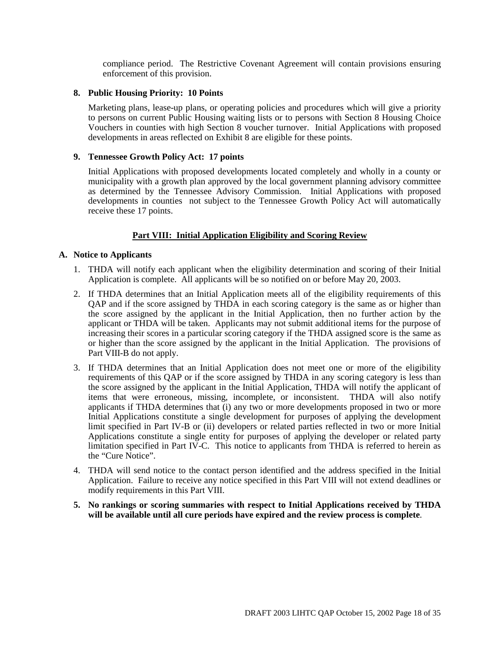compliance period. The Restrictive Covenant Agreement will contain provisions ensuring enforcement of this provision.

#### **8. Public Housing Priority: 10 Points**

Marketing plans, lease-up plans, or operating policies and procedures which will give a priority to persons on current Public Housing waiting lists or to persons with Section 8 Housing Choice Vouchers in counties with high Section 8 voucher turnover. Initial Applications with proposed developments in areas reflected on Exhibit 8 are eligible for these points.

#### **9. Tennessee Growth Policy Act: 17 points**

Initial Applications with proposed developments located completely and wholly in a county or municipality with a growth plan approved by the local government planning advisory committee as determined by the Tennessee Advisory Commission. Initial Applications with proposed developments in counties not subject to the Tennessee Growth Policy Act will automatically receive these 17 points.

#### **Part VIII: Initial Application Eligibility and Scoring Review**

#### **A. Notice to Applicants**

- 1. THDA will notify each applicant when the eligibility determination and scoring of their Initial Application is complete. All applicants will be so notified on or before May 20, 2003.
- 2. If THDA determines that an Initial Application meets all of the eligibility requirements of this QAP and if the score assigned by THDA in each scoring category is the same as or higher than the score assigned by the applicant in the Initial Application, then no further action by the applicant or THDA will be taken. Applicants may not submit additional items for the purpose of increasing their scores in a particular scoring category if the THDA assigned score is the same as or higher than the score assigned by the applicant in the Initial Application. The provisions of Part VIII-B do not apply.
- 3. If THDA determines that an Initial Application does not meet one or more of the eligibility requirements of this QAP or if the score assigned by THDA in any scoring category is less than the score assigned by the applicant in the Initial Application, THDA will notify the applicant of items that were erroneous, missing, incomplete, or inconsistent. THDA will also notify applicants if THDA determines that (i) any two or more developments proposed in two or more Initial Applications constitute a single development for purposes of applying the development limit specified in Part IV-B or (ii) developers or related parties reflected in two or more Initial Applications constitute a single entity for purposes of applying the developer or related party limitation specified in Part IV-C. This notice to applicants from THDA is referred to herein as the "Cure Notice".
- 4. THDA will send notice to the contact person identified and the address specified in the Initial Application. Failure to receive any notice specified in this Part VIII will not extend deadlines or modify requirements in this Part VIII.
- **5. No rankings or scoring summaries with respect to Initial Applications received by THDA will be available until all cure periods have expired and the review process is complete**.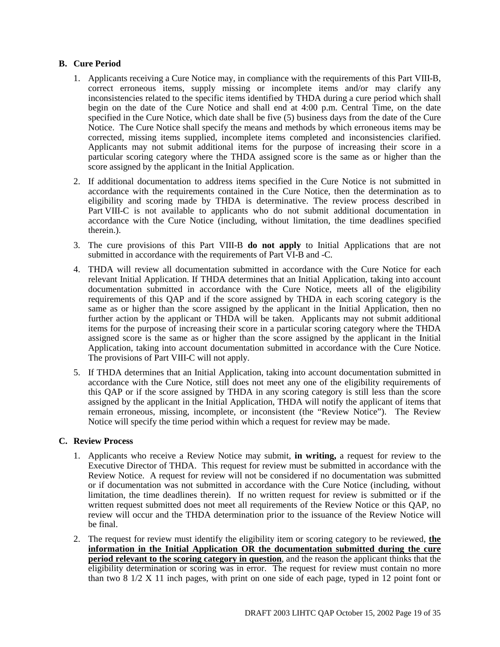#### **B. Cure Period**

- 1. Applicants receiving a Cure Notice may, in compliance with the requirements of this Part VIII-B, correct erroneous items, supply missing or incomplete items and/or may clarify any inconsistencies related to the specific items identified by THDA during a cure period which shall begin on the date of the Cure Notice and shall end at 4:00 p.m. Central Time, on the date specified in the Cure Notice, which date shall be five (5) business days from the date of the Cure Notice. The Cure Notice shall specify the means and methods by which erroneous items may be corrected, missing items supplied, incomplete items completed and inconsistencies clarified. Applicants may not submit additional items for the purpose of increasing their score in a particular scoring category where the THDA assigned score is the same as or higher than the score assigned by the applicant in the Initial Application.
- 2. If additional documentation to address items specified in the Cure Notice is not submitted in accordance with the requirements contained in the Cure Notice, then the determination as to eligibility and scoring made by THDA is determinative. The review process described in Part VIII-C is not available to applicants who do not submit additional documentation in accordance with the Cure Notice (including, without limitation, the time deadlines specified therein.).
- 3. The cure provisions of this Part VIII-B **do not apply** to Initial Applications that are not submitted in accordance with the requirements of Part VI-B and -C.
- 4. THDA will review all documentation submitted in accordance with the Cure Notice for each relevant Initial Application. If THDA determines that an Initial Application, taking into account documentation submitted in accordance with the Cure Notice, meets all of the eligibility requirements of this QAP and if the score assigned by THDA in each scoring category is the same as or higher than the score assigned by the applicant in the Initial Application, then no further action by the applicant or THDA will be taken. Applicants may not submit additional items for the purpose of increasing their score in a particular scoring category where the THDA assigned score is the same as or higher than the score assigned by the applicant in the Initial Application, taking into account documentation submitted in accordance with the Cure Notice. The provisions of Part VIII-C will not apply.
- 5. If THDA determines that an Initial Application, taking into account documentation submitted in accordance with the Cure Notice, still does not meet any one of the eligibility requirements of this QAP or if the score assigned by THDA in any scoring category is still less than the score assigned by the applicant in the Initial Application, THDA will notify the applicant of items that remain erroneous, missing, incomplete, or inconsistent (the "Review Notice"). The Review Notice will specify the time period within which a request for review may be made.

#### **C. Review Process**

- 1. Applicants who receive a Review Notice may submit, **in writing,** a request for review to the Executive Director of THDA. This request for review must be submitted in accordance with the Review Notice. A request for review will not be considered if no documentation was submitted or if documentation was not submitted in accordance with the Cure Notice (including, without limitation, the time deadlines therein). If no written request for review is submitted or if the written request submitted does not meet all requirements of the Review Notice or this QAP, no review will occur and the THDA determination prior to the issuance of the Review Notice will be final.
- 2. The request for review must identify the eligibility item or scoring category to be reviewed, **the information in the Initial Application OR the documentation submitted during the cure period relevant to the scoring category in question**, and the reason the applicant thinks that the eligibility determination or scoring was in error. The request for review must contain no more than two 8 1/2 X 11 inch pages, with print on one side of each page, typed in 12 point font or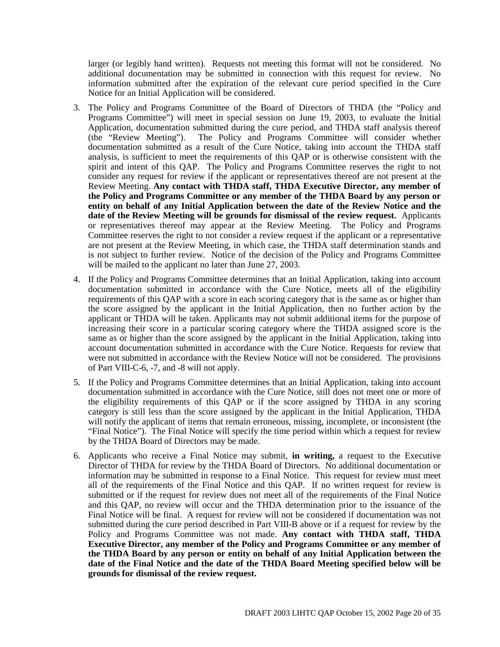larger (or legibly hand written). Requests not meeting this format will not be considered. No additional documentation may be submitted in connection with this request for review. No information submitted after the expiration of the relevant cure period specified in the Cure Notice for an Initial Application will be considered.

- 3. The Policy and Programs Committee of the Board of Directors of THDA (the "Policy and Programs Committee") will meet in special session on June 19, 2003, to evaluate the Initial Application, documentation submitted during the cure period, and THDA staff analysis thereof (the "Review Meeting"). The Policy and Programs Committee will consider whether documentation submitted as a result of the Cure Notice, taking into account the THDA staff analysis, is sufficient to meet the requirements of this QAP or is otherwise consistent with the spirit and intent of this QAP. The Policy and Programs Committee reserves the right to not consider any request for review if the applicant or representatives thereof are not present at the Review Meeting. **Any contact with THDA staff, THDA Executive Director, any member of the Policy and Programs Committee or any member of the THDA Board by any person or entity on behalf of any Initial Application between the date of the Review Notice and the date of the Review Meeting will be grounds for dismissal of the review request.** Applicants or representatives thereof may appear at the Review Meeting. The Policy and Programs Committee reserves the right to not consider a review request if the applicant or a representative are not present at the Review Meeting, in which case, the THDA staff determination stands and is not subject to further review. Notice of the decision of the Policy and Programs Committee will be mailed to the applicant no later than June 27, 2003.
- 4. If the Policy and Programs Committee determines that an Initial Application, taking into account documentation submitted in accordance with the Cure Notice, meets all of the eligibility requirements of this QAP with a score in each scoring category that is the same as or higher than the score assigned by the applicant in the Initial Application, then no further action by the applicant or THDA will be taken. Applicants may not submit additional items for the purpose of increasing their score in a particular scoring category where the THDA assigned score is the same as or higher than the score assigned by the applicant in the Initial Application, taking into account documentation submitted in accordance with the Cure Notice. Requests for review that were not submitted in accordance with the Review Notice will not be considered. The provisions of Part VIII-C-6, -7, and -8 will not apply.
- 5. If the Policy and Programs Committee determines that an Initial Application, taking into account documentation submitted in accordance with the Cure Notice, still does not meet one or more of the eligibility requirements of this QAP or if the score assigned by THDA in any scoring category is still less than the score assigned by the applicant in the Initial Application, THDA will notify the applicant of items that remain erroneous, missing, incomplete, or inconsistent (the "Final Notice"). The Final Notice will specify the time period within which a request for review by the THDA Board of Directors may be made.
- 6. Applicants who receive a Final Notice may submit, **in writing,** a request to the Executive Director of THDA for review by the THDA Board of Directors. No additional documentation or information may be submitted in response to a Final Notice. This request for review must meet all of the requirements of the Final Notice and this QAP. If no written request for review is submitted or if the request for review does not meet all of the requirements of the Final Notice and this QAP, no review will occur and the THDA determination prior to the issuance of the Final Notice will be final. A request for review will not be considered if documentation was not submitted during the cure period described in Part VIII-B above or if a request for review by the Policy and Programs Committee was not made. **Any contact with THDA staff, THDA Executive Director, any member of the Policy and Programs Committee or any member of the THDA Board by any person or entity on behalf of any Initial Application between the date of the Final Notice and the date of the THDA Board Meeting specified below will be grounds for dismissal of the review request.**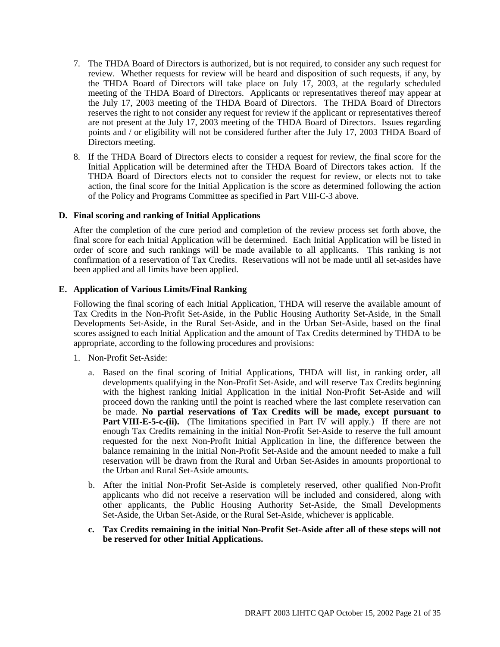- 7. The THDA Board of Directors is authorized, but is not required, to consider any such request for review. Whether requests for review will be heard and disposition of such requests, if any, by the THDA Board of Directors will take place on July 17, 2003, at the regularly scheduled meeting of the THDA Board of Directors. Applicants or representatives thereof may appear at the July 17, 2003 meeting of the THDA Board of Directors. The THDA Board of Directors reserves the right to not consider any request for review if the applicant or representatives thereof are not present at the July 17, 2003 meeting of the THDA Board of Directors. Issues regarding points and / or eligibility will not be considered further after the July 17, 2003 THDA Board of Directors meeting.
- 8. If the THDA Board of Directors elects to consider a request for review, the final score for the Initial Application will be determined after the THDA Board of Directors takes action. If the THDA Board of Directors elects not to consider the request for review, or elects not to take action, the final score for the Initial Application is the score as determined following the action of the Policy and Programs Committee as specified in Part VIII-C-3 above.

#### **D. Final scoring and ranking of Initial Applications**

After the completion of the cure period and completion of the review process set forth above, the final score for each Initial Application will be determined. Each Initial Application will be listed in order of score and such rankings will be made available to all applicants. This ranking is not confirmation of a reservation of Tax Credits. Reservations will not be made until all set-asides have been applied and all limits have been applied.

#### **E. Application of Various Limits/Final Ranking**

Following the final scoring of each Initial Application, THDA will reserve the available amount of Tax Credits in the Non-Profit Set-Aside, in the Public Housing Authority Set-Aside, in the Small Developments Set-Aside, in the Rural Set-Aside, and in the Urban Set-Aside, based on the final scores assigned to each Initial Application and the amount of Tax Credits determined by THDA to be appropriate, according to the following procedures and provisions:

- 1. Non-Profit Set-Aside:
	- a. Based on the final scoring of Initial Applications, THDA will list, in ranking order, all developments qualifying in the Non-Profit Set-Aside, and will reserve Tax Credits beginning with the highest ranking Initial Application in the initial Non-Profit Set-Aside and will proceed down the ranking until the point is reached where the last complete reservation can be made. **No partial reservations of Tax Credits will be made, except pursuant to** Part VIII-E-5-c-(ii). (The limitations specified in Part IV will apply.) If there are not enough Tax Credits remaining in the initial Non-Profit Set-Aside to reserve the full amount requested for the next Non-Profit Initial Application in line, the difference between the balance remaining in the initial Non-Profit Set-Aside and the amount needed to make a full reservation will be drawn from the Rural and Urban Set-Asides in amounts proportional to the Urban and Rural Set-Aside amounts.
	- b. After the initial Non-Profit Set-Aside is completely reserved, other qualified Non-Profit applicants who did not receive a reservation will be included and considered, along with other applicants, the Public Housing Authority Set-Aside, the Small Developments Set-Aside, the Urban Set-Aside, or the Rural Set-Aside, whichever is applicable.
	- **c. Tax Credits remaining in the initial Non-Profit Set-Aside after all of these steps will not be reserved for other Initial Applications.**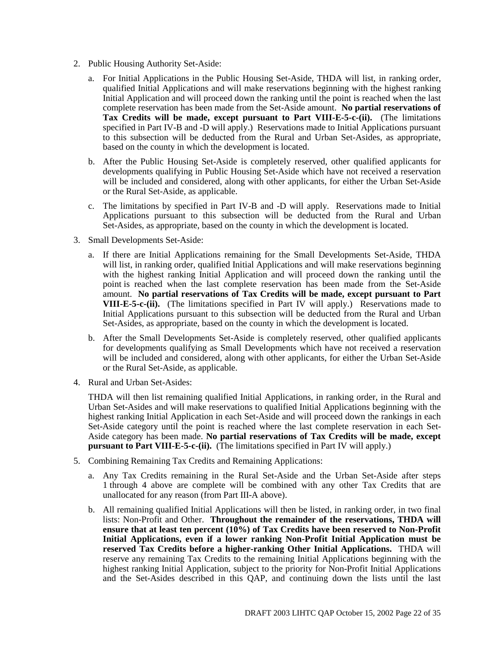- 2. Public Housing Authority Set-Aside:
	- a. For Initial Applications in the Public Housing Set-Aside, THDA will list, in ranking order, qualified Initial Applications and will make reservations beginning with the highest ranking Initial Application and will proceed down the ranking until the point is reached when the last complete reservation has been made from the Set-Aside amount. **No partial reservations of Tax Credits will be made, except pursuant to Part VIII-E-5-c-(ii).** (The limitations specified in Part IV-B and -D will apply.) Reservations made to Initial Applications pursuant to this subsection will be deducted from the Rural and Urban Set-Asides, as appropriate, based on the county in which the development is located.
	- b. After the Public Housing Set-Aside is completely reserved, other qualified applicants for developments qualifying in Public Housing Set-Aside which have not received a reservation will be included and considered, along with other applicants, for either the Urban Set-Aside or the Rural Set-Aside, as applicable.
	- c. The limitations by specified in Part IV-B and -D will apply. Reservations made to Initial Applications pursuant to this subsection will be deducted from the Rural and Urban Set-Asides, as appropriate, based on the county in which the development is located.
- 3. Small Developments Set-Aside:
	- a. If there are Initial Applications remaining for the Small Developments Set-Aside, THDA will list, in ranking order, qualified Initial Applications and will make reservations beginning with the highest ranking Initial Application and will proceed down the ranking until the point is reached when the last complete reservation has been made from the Set-Aside amount. **No partial reservations of Tax Credits will be made, except pursuant to Part VIII-E-5-c-(ii).** (The limitations specified in Part IV will apply.) Reservations made to Initial Applications pursuant to this subsection will be deducted from the Rural and Urban Set-Asides, as appropriate, based on the county in which the development is located.
	- b. After the Small Developments Set-Aside is completely reserved, other qualified applicants for developments qualifying as Small Developments which have not received a reservation will be included and considered, along with other applicants, for either the Urban Set-Aside or the Rural Set-Aside, as applicable.
- 4. Rural and Urban Set-Asides:

THDA will then list remaining qualified Initial Applications, in ranking order, in the Rural and Urban Set-Asides and will make reservations to qualified Initial Applications beginning with the highest ranking Initial Application in each Set-Aside and will proceed down the rankings in each Set-Aside category until the point is reached where the last complete reservation in each Set-Aside category has been made. **No partial reservations of Tax Credits will be made, except pursuant to Part VIII-E-5-c-(ii).** (The limitations specified in Part IV will apply.)

- 5. Combining Remaining Tax Credits and Remaining Applications:
	- a. Any Tax Credits remaining in the Rural Set-Aside and the Urban Set-Aside after steps 1 through 4 above are complete will be combined with any other Tax Credits that are unallocated for any reason (from Part III-A above).
	- b. All remaining qualified Initial Applications will then be listed, in ranking order, in two final lists: Non-Profit and Other. **Throughout the remainder of the reservations, THDA will ensure that at least ten percent (10%) of Tax Credits have been reserved to Non-Profit Initial Applications, even if a lower ranking Non-Profit Initial Application must be reserved Tax Credits before a higher-ranking Other Initial Applications.** THDA will reserve any remaining Tax Credits to the remaining Initial Applications beginning with the highest ranking Initial Application, subject to the priority for Non-Profit Initial Applications and the Set-Asides described in this QAP, and continuing down the lists until the last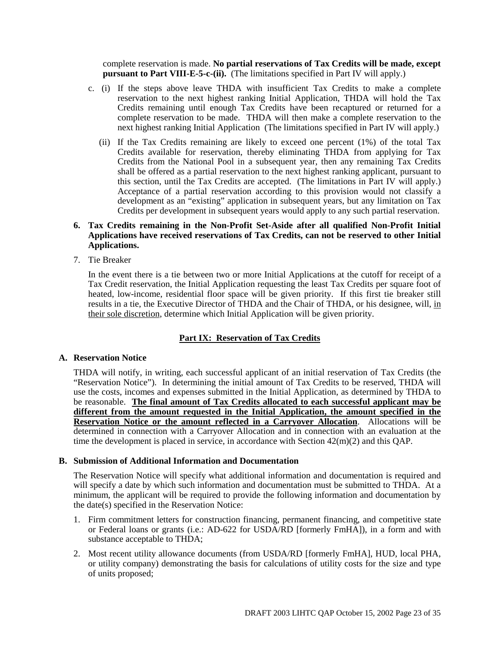complete reservation is made. **No partial reservations of Tax Credits will be made, except pursuant to Part VIII-E-5-c-(ii).** (The limitations specified in Part IV will apply.)

- c. (i) If the steps above leave THDA with insufficient Tax Credits to make a complete reservation to the next highest ranking Initial Application, THDA will hold the Tax Credits remaining until enough Tax Credits have been recaptured or returned for a complete reservation to be made. THDA will then make a complete reservation to the next highest ranking Initial Application (The limitations specified in Part IV will apply.)
	- (ii) If the Tax Credits remaining are likely to exceed one percent (1%) of the total Tax Credits available for reservation, thereby eliminating THDA from applying for Tax Credits from the National Pool in a subsequent year, then any remaining Tax Credits shall be offered as a partial reservation to the next highest ranking applicant, pursuant to this section, until the Tax Credits are accepted. (The limitations in Part IV will apply.) Acceptance of a partial reservation according to this provision would not classify a development as an "existing" application in subsequent years, but any limitation on Tax Credits per development in subsequent years would apply to any such partial reservation.

#### **6. Tax Credits remaining in the Non-Profit Set-Aside after all qualified Non-Profit Initial Applications have received reservations of Tax Credits, can not be reserved to other Initial Applications.**

7. Tie Breaker

In the event there is a tie between two or more Initial Applications at the cutoff for receipt of a Tax Credit reservation, the Initial Application requesting the least Tax Credits per square foot of heated, low-income, residential floor space will be given priority. If this first tie breaker still results in a tie, the Executive Director of THDA and the Chair of THDA, or his designee, will, in their sole discretion, determine which Initial Application will be given priority.

#### **Part IX: Reservation of Tax Credits**

#### **A. Reservation Notice**

THDA will notify, in writing, each successful applicant of an initial reservation of Tax Credits (the "Reservation Notice"). In determining the initial amount of Tax Credits to be reserved, THDA will use the costs, incomes and expenses submitted in the Initial Application, as determined by THDA to be reasonable. **The final amount of Tax Credits allocated to each successful applicant may be different from the amount requested in the Initial Application, the amount specified in the Reservation Notice or the amount reflected in a Carryover Allocation**. Allocations will be determined in connection with a Carryover Allocation and in connection with an evaluation at the time the development is placed in service, in accordance with Section  $42(m)(2)$  and this QAP.

#### **B. Submission of Additional Information and Documentation**

The Reservation Notice will specify what additional information and documentation is required and will specify a date by which such information and documentation must be submitted to THDA. At a minimum, the applicant will be required to provide the following information and documentation by the date(s) specified in the Reservation Notice:

- 1. Firm commitment letters for construction financing, permanent financing, and competitive state or Federal loans or grants (i.e.: AD-622 for USDA/RD [formerly FmHA]), in a form and with substance acceptable to THDA;
- 2. Most recent utility allowance documents (from USDA/RD [formerly FmHA], HUD, local PHA, or utility company) demonstrating the basis for calculations of utility costs for the size and type of units proposed;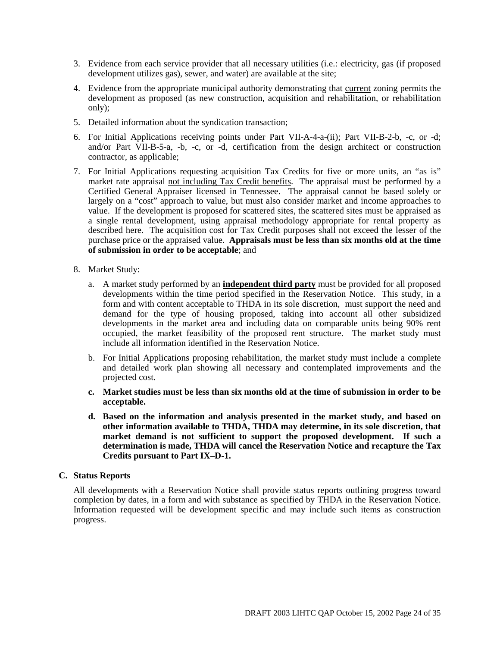- 3. Evidence from each service provider that all necessary utilities (i.e.: electricity, gas (if proposed development utilizes gas), sewer, and water) are available at the site;
- 4. Evidence from the appropriate municipal authority demonstrating that current zoning permits the development as proposed (as new construction, acquisition and rehabilitation, or rehabilitation only);
- 5. Detailed information about the syndication transaction;
- 6. For Initial Applications receiving points under Part VII-A-4-a-(ii); Part VII-B-2-b, -c, or -d; and/or Part VII-B-5-a, -b, -c, or -d, certification from the design architect or construction contractor, as applicable;
- 7. For Initial Applications requesting acquisition Tax Credits for five or more units, an "as is" market rate appraisal not including Tax Credit benefits. The appraisal must be performed by a Certified General Appraiser licensed in Tennessee. The appraisal cannot be based solely or largely on a "cost" approach to value, but must also consider market and income approaches to value. If the development is proposed for scattered sites, the scattered sites must be appraised as a single rental development, using appraisal methodology appropriate for rental property as described here. The acquisition cost for Tax Credit purposes shall not exceed the lesser of the purchase price or the appraised value. **Appraisals must be less than six months old at the time of submission in order to be acceptable**; and
- 8. Market Study:
	- a. A market study performed by an **independent third party** must be provided for all proposed developments within the time period specified in the Reservation Notice. This study, in a form and with content acceptable to THDA in its sole discretion, must support the need and demand for the type of housing proposed, taking into account all other subsidized developments in the market area and including data on comparable units being 90% rent occupied, the market feasibility of the proposed rent structure. The market study must include all information identified in the Reservation Notice.
	- b. For Initial Applications proposing rehabilitation, the market study must include a complete and detailed work plan showing all necessary and contemplated improvements and the projected cost.
	- **c. Market studies must be less than six months old at the time of submission in order to be acceptable.**
	- **d. Based on the information and analysis presented in the market study, and based on other information available to THDA, THDA may determine, in its sole discretion, that market demand is not sufficient to support the proposed development. If such a determination is made, THDA will cancel the Reservation Notice and recapture the Tax Credits pursuant to Part IX–D-1.**

#### **C. Status Reports**

All developments with a Reservation Notice shall provide status reports outlining progress toward completion by dates, in a form and with substance as specified by THDA in the Reservation Notice. Information requested will be development specific and may include such items as construction progress.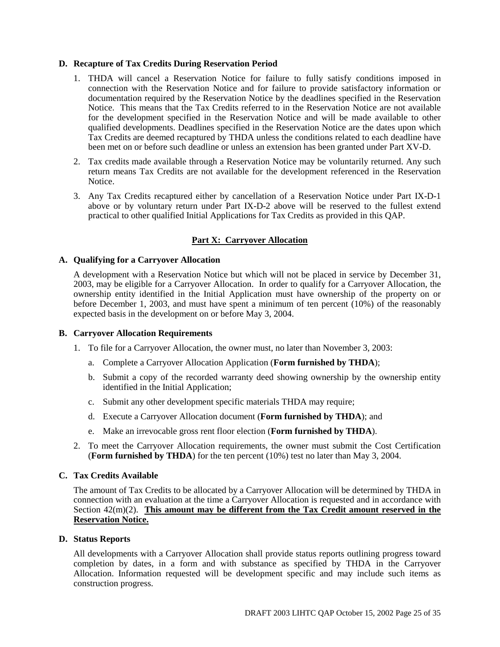#### **D. Recapture of Tax Credits During Reservation Period**

- 1. THDA will cancel a Reservation Notice for failure to fully satisfy conditions imposed in connection with the Reservation Notice and for failure to provide satisfactory information or documentation required by the Reservation Notice by the deadlines specified in the Reservation Notice. This means that the Tax Credits referred to in the Reservation Notice are not available for the development specified in the Reservation Notice and will be made available to other qualified developments. Deadlines specified in the Reservation Notice are the dates upon which Tax Credits are deemed recaptured by THDA unless the conditions related to each deadline have been met on or before such deadline or unless an extension has been granted under Part XV-D.
- 2. Tax credits made available through a Reservation Notice may be voluntarily returned. Any such return means Tax Credits are not available for the development referenced in the Reservation Notice.
- 3. Any Tax Credits recaptured either by cancellation of a Reservation Notice under Part IX-D-1 above or by voluntary return under Part IX-D-2 above will be reserved to the fullest extend practical to other qualified Initial Applications for Tax Credits as provided in this QAP.

#### **Part X: Carryover Allocation**

#### **A. Qualifying for a Carryover Allocation**

A development with a Reservation Notice but which will not be placed in service by December 31, 2003, may be eligible for a Carryover Allocation. In order to qualify for a Carryover Allocation, the ownership entity identified in the Initial Application must have ownership of the property on or before December 1, 2003, and must have spent a minimum of ten percent (10%) of the reasonably expected basis in the development on or before May 3, 2004.

#### **B. Carryover Allocation Requirements**

- 1. To file for a Carryover Allocation, the owner must, no later than November 3, 2003:
	- a. Complete a Carryover Allocation Application (**Form furnished by THDA**);
	- b. Submit a copy of the recorded warranty deed showing ownership by the ownership entity identified in the Initial Application;
	- c. Submit any other development specific materials THDA may require;
	- d. Execute a Carryover Allocation document (**Form furnished by THDA**); and
	- e. Make an irrevocable gross rent floor election (**Form furnished by THDA**).
- 2. To meet the Carryover Allocation requirements, the owner must submit the Cost Certification (**Form furnished by THDA**) for the ten percent (10%) test no later than May 3, 2004.

#### **C. Tax Credits Available**

The amount of Tax Credits to be allocated by a Carryover Allocation will be determined by THDA in connection with an evaluation at the time a Carryover Allocation is requested and in accordance with Section 42(m)(2). **This amount may be different from the Tax Credit amount reserved in the Reservation Notice.**

#### **D. Status Reports**

All developments with a Carryover Allocation shall provide status reports outlining progress toward completion by dates, in a form and with substance as specified by THDA in the Carryover Allocation. Information requested will be development specific and may include such items as construction progress.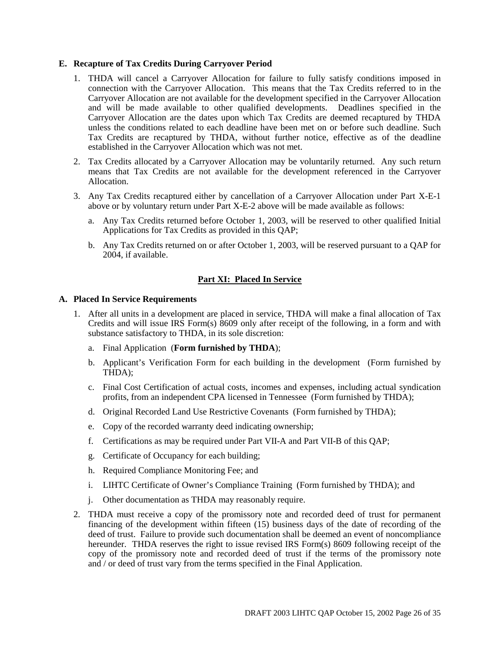#### **E. Recapture of Tax Credits During Carryover Period**

- 1. THDA will cancel a Carryover Allocation for failure to fully satisfy conditions imposed in connection with the Carryover Allocation. This means that the Tax Credits referred to in the Carryover Allocation are not available for the development specified in the Carryover Allocation and will be made available to other qualified developments. Deadlines specified in the Carryover Allocation are the dates upon which Tax Credits are deemed recaptured by THDA unless the conditions related to each deadline have been met on or before such deadline. Such Tax Credits are recaptured by THDA, without further notice, effective as of the deadline established in the Carryover Allocation which was not met.
- 2. Tax Credits allocated by a Carryover Allocation may be voluntarily returned. Any such return means that Tax Credits are not available for the development referenced in the Carryover Allocation.
- 3. Any Tax Credits recaptured either by cancellation of a Carryover Allocation under Part X-E-1 above or by voluntary return under Part X-E-2 above will be made available as follows:
	- a. Any Tax Credits returned before October 1, 2003, will be reserved to other qualified Initial Applications for Tax Credits as provided in this QAP;
	- b. Any Tax Credits returned on or after October 1, 2003, will be reserved pursuant to a QAP for 2004, if available.

#### **Part XI: Placed In Service**

#### **A. Placed In Service Requirements**

- 1. After all units in a development are placed in service, THDA will make a final allocation of Tax Credits and will issue IRS Form(s) 8609 only after receipt of the following, in a form and with substance satisfactory to THDA, in its sole discretion:
	- a. Final Application (**Form furnished by THDA**);
	- b. Applicant's Verification Form for each building in the development (Form furnished by THDA);
	- c. Final Cost Certification of actual costs, incomes and expenses, including actual syndication profits, from an independent CPA licensed in Tennessee (Form furnished by THDA);
	- d. Original Recorded Land Use Restrictive Covenants (Form furnished by THDA);
	- e. Copy of the recorded warranty deed indicating ownership;
	- f. Certifications as may be required under Part VII-A and Part VII-B of this QAP;
	- g. Certificate of Occupancy for each building;
	- h. Required Compliance Monitoring Fee; and
	- i. LIHTC Certificate of Owner's Compliance Training (Form furnished by THDA); and
	- j. Other documentation as THDA may reasonably require.
- 2. THDA must receive a copy of the promissory note and recorded deed of trust for permanent financing of the development within fifteen (15) business days of the date of recording of the deed of trust. Failure to provide such documentation shall be deemed an event of noncompliance hereunder. THDA reserves the right to issue revised IRS Form(s) 8609 following receipt of the copy of the promissory note and recorded deed of trust if the terms of the promissory note and / or deed of trust vary from the terms specified in the Final Application.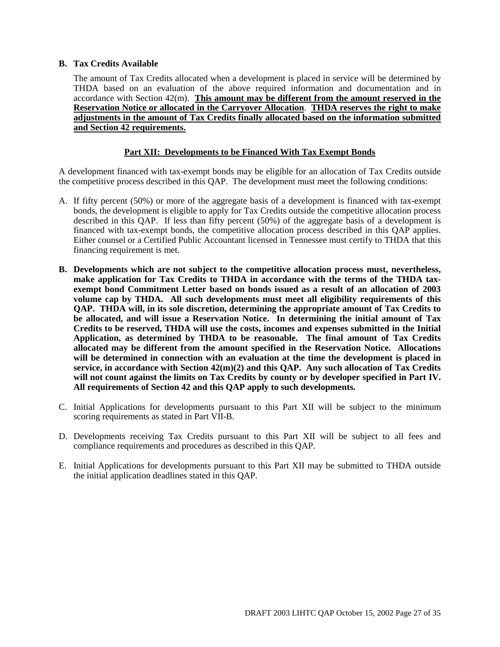#### **B. Tax Credits Available**

The amount of Tax Credits allocated when a development is placed in service will be determined by THDA based on an evaluation of the above required information and documentation and in accordance with Section 42(m). **This amount may be different from the amount reserved in the Reservation Notice or allocated in the Carryover Allocation**. **THDA reserves the right to make adjustments in the amount of Tax Credits finally allocated based on the information submitted and Section 42 requirements.**

#### **Part XII: Developments to be Financed With Tax Exempt Bonds**

A development financed with tax-exempt bonds may be eligible for an allocation of Tax Credits outside the competitive process described in this QAP. The development must meet the following conditions:

- A. If fifty percent (50%) or more of the aggregate basis of a development is financed with tax-exempt bonds, the development is eligible to apply for Tax Credits outside the competitive allocation process described in this QAP. If less than fifty percent (50%) of the aggregate basis of a development is financed with tax-exempt bonds, the competitive allocation process described in this QAP applies. Either counsel or a Certified Public Accountant licensed in Tennessee must certify to THDA that this financing requirement is met.
- **B. Developments which are not subject to the competitive allocation process must, nevertheless, make application for Tax Credits to THDA in accordance with the terms of the THDA taxexempt bond Commitment Letter based on bonds issued as a result of an allocation of 2003 volume cap by THDA. All such developments must meet all eligibility requirements of this QAP. THDA will, in its sole discretion, determining the appropriate amount of Tax Credits to be allocated, and will issue a Reservation Notice. In determining the initial amount of Tax Credits to be reserved, THDA will use the costs, incomes and expenses submitted in the Initial Application, as determined by THDA to be reasonable. The final amount of Tax Credits allocated may be different from the amount specified in the Reservation Notice. Allocations will be determined in connection with an evaluation at the time the development is placed in service, in accordance with Section 42(m)(2) and this QAP. Any such allocation of Tax Credits will not count against the limits on Tax Credits by county or by developer specified in Part IV. All requirements of Section 42 and this QAP apply to such developments.**
- C. Initial Applications for developments pursuant to this Part XII will be subject to the minimum scoring requirements as stated in Part VII-B.
- D. Developments receiving Tax Credits pursuant to this Part XII will be subject to all fees and compliance requirements and procedures as described in this QAP.
- E. Initial Applications for developments pursuant to this Part XII may be submitted to THDA outside the initial application deadlines stated in this QAP.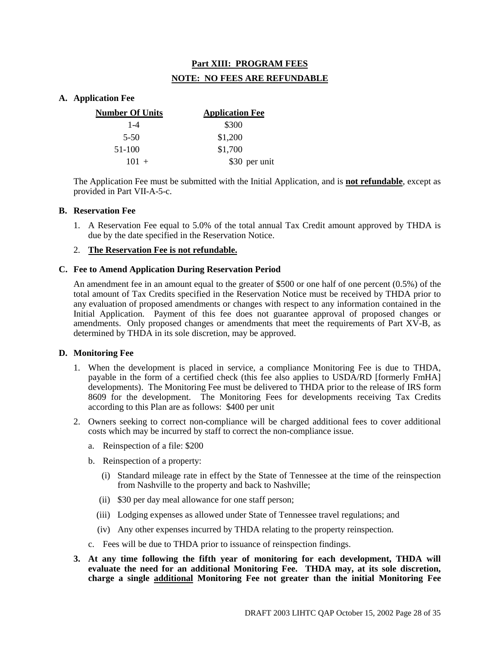### **Part XIII: PROGRAM FEES NOTE: NO FEES ARE REFUNDABLE**

#### **A. Application Fee**

| <b>Number Of Units</b> | <b>Application Fee</b> |
|------------------------|------------------------|
| $1 - 4$                | \$300                  |
| $5-50$                 | \$1,200                |
| 51-100                 | \$1,700                |
| $101 +$                | \$30 per unit          |

The Application Fee must be submitted with the Initial Application, and is **not refundable**, except as provided in Part VII-A-5-c.

#### **B. Reservation Fee**

1. A Reservation Fee equal to 5.0% of the total annual Tax Credit amount approved by THDA is due by the date specified in the Reservation Notice.

#### 2. **The Reservation Fee is not refundable.**

#### **C. Fee to Amend Application During Reservation Period**

An amendment fee in an amount equal to the greater of \$500 or one half of one percent (0.5%) of the total amount of Tax Credits specified in the Reservation Notice must be received by THDA prior to any evaluation of proposed amendments or changes with respect to any information contained in the Initial Application. Payment of this fee does not guarantee approval of proposed changes or amendments. Only proposed changes or amendments that meet the requirements of Part XV-B, as determined by THDA in its sole discretion, may be approved.

#### **D. Monitoring Fee**

- 1. When the development is placed in service, a compliance Monitoring Fee is due to THDA, payable in the form of a certified check (this fee also applies to USDA/RD [formerly FmHA] developments). The Monitoring Fee must be delivered to THDA prior to the release of IRS form 8609 for the development. The Monitoring Fees for developments receiving Tax Credits according to this Plan are as follows: \$400 per unit
- 2. Owners seeking to correct non-compliance will be charged additional fees to cover additional costs which may be incurred by staff to correct the non-compliance issue.
	- a. Reinspection of a file: \$200
	- b. Reinspection of a property:
		- (i) Standard mileage rate in effect by the State of Tennessee at the time of the reinspection from Nashville to the property and back to Nashville;
		- (ii) \$30 per day meal allowance for one staff person;
		- (iii) Lodging expenses as allowed under State of Tennessee travel regulations; and
		- (iv) Any other expenses incurred by THDA relating to the property reinspection.
	- c. Fees will be due to THDA prior to issuance of reinspection findings.
- **3. At any time following the fifth year of monitoring for each development, THDA will evaluate the need for an additional Monitoring Fee. THDA may, at its sole discretion, charge a single additional Monitoring Fee not greater than the initial Monitoring Fee**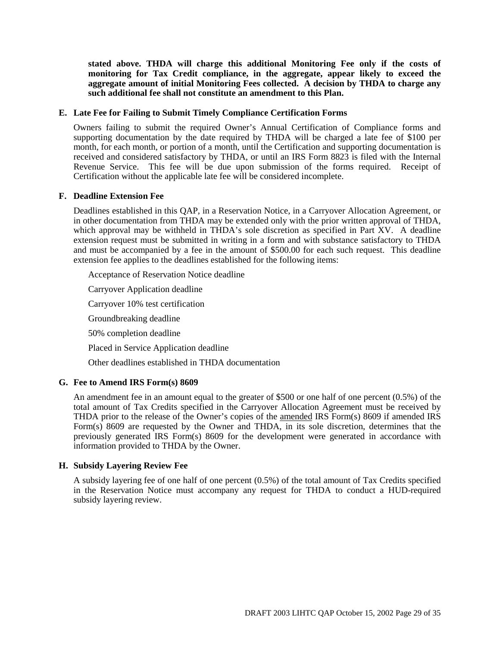**stated above. THDA will charge this additional Monitoring Fee only if the costs of monitoring for Tax Credit compliance, in the aggregate, appear likely to exceed the aggregate amount of initial Monitoring Fees collected. A decision by THDA to charge any such additional fee shall not constitute an amendment to this Plan.**

#### **E. Late Fee for Failing to Submit Timely Compliance Certification Forms**

Owners failing to submit the required Owner's Annual Certification of Compliance forms and supporting documentation by the date required by THDA will be charged a late fee of \$100 per month, for each month, or portion of a month, until the Certification and supporting documentation is received and considered satisfactory by THDA, or until an IRS Form 8823 is filed with the Internal Revenue Service. This fee will be due upon submission of the forms required. Receipt of Certification without the applicable late fee will be considered incomplete.

#### **F. Deadline Extension Fee**

Deadlines established in this QAP, in a Reservation Notice, in a Carryover Allocation Agreement, or in other documentation from THDA may be extended only with the prior written approval of THDA, which approval may be withheld in THDA's sole discretion as specified in Part  $XV$ . A deadline extension request must be submitted in writing in a form and with substance satisfactory to THDA and must be accompanied by a fee in the amount of \$500.00 for each such request. This deadline extension fee applies to the deadlines established for the following items:

Acceptance of Reservation Notice deadline

Carryover Application deadline

Carryover 10% test certification

Groundbreaking deadline

50% completion deadline

Placed in Service Application deadline

Other deadlines established in THDA documentation

#### **G. Fee to Amend IRS Form(s) 8609**

An amendment fee in an amount equal to the greater of \$500 or one half of one percent (0.5%) of the total amount of Tax Credits specified in the Carryover Allocation Agreement must be received by THDA prior to the release of the Owner's copies of the amended IRS Form(s) 8609 if amended IRS Form(s) 8609 are requested by the Owner and THDA, in its sole discretion, determines that the previously generated IRS Form(s) 8609 for the development were generated in accordance with information provided to THDA by the Owner.

#### **H. Subsidy Layering Review Fee**

A subsidy layering fee of one half of one percent (0.5%) of the total amount of Tax Credits specified in the Reservation Notice must accompany any request for THDA to conduct a HUD-required subsidy layering review.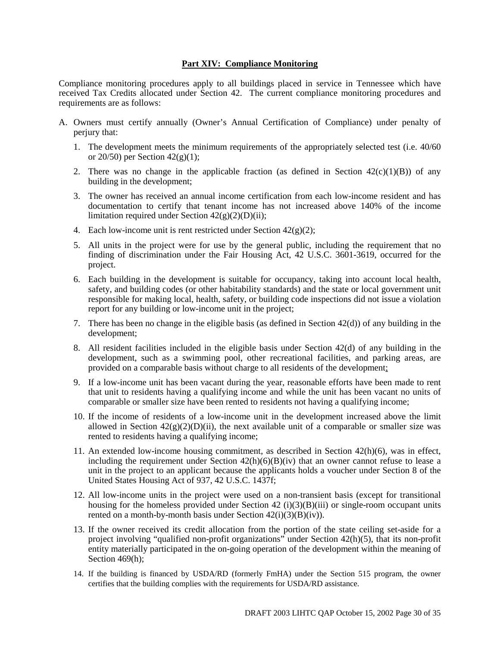#### **Part XIV: Compliance Monitoring**

Compliance monitoring procedures apply to all buildings placed in service in Tennessee which have received Tax Credits allocated under Section 42. The current compliance monitoring procedures and requirements are as follows:

- A. Owners must certify annually (Owner's Annual Certification of Compliance) under penalty of perjury that:
	- 1. The development meets the minimum requirements of the appropriately selected test (i.e. 40/60 or 20/50) per Section  $42(g)(1)$ ;
	- 2. There was no change in the applicable fraction (as defined in Section  $42(c)(1)(B)$ ) of any building in the development;
	- 3. The owner has received an annual income certification from each low-income resident and has documentation to certify that tenant income has not increased above 140% of the income limitation required under Section  $42(g)(2)(D)(ii)$ ;
	- 4. Each low-income unit is rent restricted under Section  $42(g)(2)$ :
	- 5. All units in the project were for use by the general public, including the requirement that no finding of discrimination under the Fair Housing Act, 42 U.S.C. 3601-3619, occurred for the project.
	- 6. Each building in the development is suitable for occupancy, taking into account local health, safety, and building codes (or other habitability standards) and the state or local government unit responsible for making local, health, safety, or building code inspections did not issue a violation report for any building or low-income unit in the project;
	- 7. There has been no change in the eligible basis (as defined in Section 42(d)) of any building in the development;
	- 8. All resident facilities included in the eligible basis under Section 42(d) of any building in the development, such as a swimming pool, other recreational facilities, and parking areas, are provided on a comparable basis without charge to all residents of the development;
	- 9. If a low-income unit has been vacant during the year, reasonable efforts have been made to rent that unit to residents having a qualifying income and while the unit has been vacant no units of comparable or smaller size have been rented to residents not having a qualifying income;
	- 10. If the income of residents of a low-income unit in the development increased above the limit allowed in Section  $42(g)(2)(D)(ii)$ , the next available unit of a comparable or smaller size was rented to residents having a qualifying income;
	- 11. An extended low-income housing commitment, as described in Section 42(h)(6), was in effect, including the requirement under Section  $42(h)(6)(B)(iv)$  that an owner cannot refuse to lease a unit in the project to an applicant because the applicants holds a voucher under Section 8 of the United States Housing Act of 937, 42 U.S.C. 1437f;
	- 12. All low-income units in the project were used on a non-transient basis (except for transitional housing for the homeless provided under Section 42 (i)(3)(B)(iii) or single-room occupant units rented on a month-by-month basis under Section  $42(i)(3)(B)(iv)$ .
	- 13. If the owner received its credit allocation from the portion of the state ceiling set-aside for a project involving "qualified non-profit organizations" under Section 42(h)(5), that its non-profit entity materially participated in the on-going operation of the development within the meaning of Section 469(h):
	- 14. If the building is financed by USDA/RD (formerly FmHA) under the Section 515 program, the owner certifies that the building complies with the requirements for USDA/RD assistance.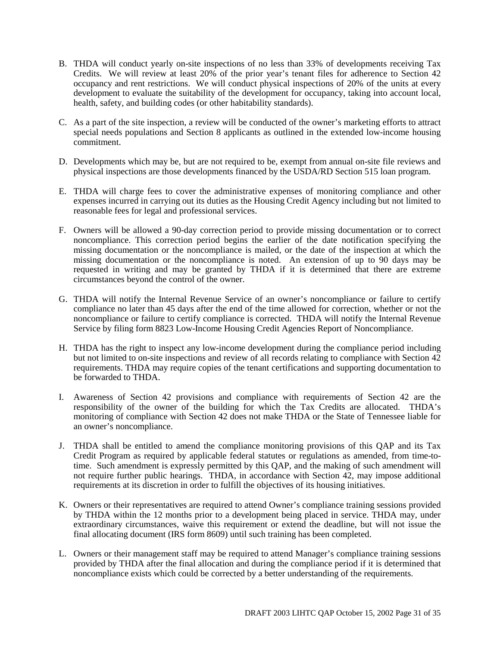- B. THDA will conduct yearly on-site inspections of no less than 33% of developments receiving Tax Credits. We will review at least 20% of the prior year's tenant files for adherence to Section 42 occupancy and rent restrictions. We will conduct physical inspections of 20% of the units at every development to evaluate the suitability of the development for occupancy, taking into account local, health, safety, and building codes (or other habitability standards).
- C. As a part of the site inspection, a review will be conducted of the owner's marketing efforts to attract special needs populations and Section 8 applicants as outlined in the extended low-income housing commitment.
- D. Developments which may be, but are not required to be, exempt from annual on-site file reviews and physical inspections are those developments financed by the USDA/RD Section 515 loan program.
- E. THDA will charge fees to cover the administrative expenses of monitoring compliance and other expenses incurred in carrying out its duties as the Housing Credit Agency including but not limited to reasonable fees for legal and professional services.
- F. Owners will be allowed a 90-day correction period to provide missing documentation or to correct noncompliance. This correction period begins the earlier of the date notification specifying the missing documentation or the noncompliance is mailed, or the date of the inspection at which the missing documentation or the noncompliance is noted. An extension of up to 90 days may be requested in writing and may be granted by THDA if it is determined that there are extreme circumstances beyond the control of the owner.
- G. THDA will notify the Internal Revenue Service of an owner's noncompliance or failure to certify compliance no later than 45 days after the end of the time allowed for correction, whether or not the noncompliance or failure to certify compliance is corrected. THDA will notify the Internal Revenue Service by filing form 8823 Low-Income Housing Credit Agencies Report of Noncompliance.
- H. THDA has the right to inspect any low-income development during the compliance period including but not limited to on-site inspections and review of all records relating to compliance with Section 42 requirements. THDA may require copies of the tenant certifications and supporting documentation to be forwarded to THDA.
- I. Awareness of Section 42 provisions and compliance with requirements of Section 42 are the responsibility of the owner of the building for which the Tax Credits are allocated. THDA's monitoring of compliance with Section 42 does not make THDA or the State of Tennessee liable for an owner's noncompliance.
- J. THDA shall be entitled to amend the compliance monitoring provisions of this QAP and its Tax Credit Program as required by applicable federal statutes or regulations as amended, from time-totime. Such amendment is expressly permitted by this QAP, and the making of such amendment will not require further public hearings. THDA, in accordance with Section 42, may impose additional requirements at its discretion in order to fulfill the objectives of its housing initiatives.
- K. Owners or their representatives are required to attend Owner's compliance training sessions provided by THDA within the 12 months prior to a development being placed in service. THDA may, under extraordinary circumstances, waive this requirement or extend the deadline, but will not issue the final allocating document (IRS form 8609) until such training has been completed.
- L. Owners or their management staff may be required to attend Manager's compliance training sessions provided by THDA after the final allocation and during the compliance period if it is determined that noncompliance exists which could be corrected by a better understanding of the requirements.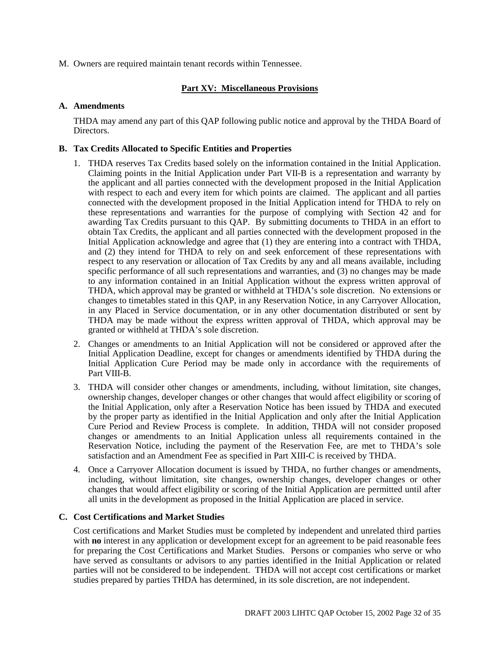M. Owners are required maintain tenant records within Tennessee.

#### **Part XV: Miscellaneous Provisions**

#### **A. Amendments**

THDA may amend any part of this QAP following public notice and approval by the THDA Board of Directors.

#### **B. Tax Credits Allocated to Specific Entities and Properties**

- 1. THDA reserves Tax Credits based solely on the information contained in the Initial Application. Claiming points in the Initial Application under Part VII-B is a representation and warranty by the applicant and all parties connected with the development proposed in the Initial Application with respect to each and every item for which points are claimed. The applicant and all parties connected with the development proposed in the Initial Application intend for THDA to rely on these representations and warranties for the purpose of complying with Section 42 and for awarding Tax Credits pursuant to this QAP. By submitting documents to THDA in an effort to obtain Tax Credits, the applicant and all parties connected with the development proposed in the Initial Application acknowledge and agree that (1) they are entering into a contract with THDA, and (2) they intend for THDA to rely on and seek enforcement of these representations with respect to any reservation or allocation of Tax Credits by any and all means available, including specific performance of all such representations and warranties, and (3) no changes may be made to any information contained in an Initial Application without the express written approval of THDA, which approval may be granted or withheld at THDA's sole discretion. No extensions or changes to timetables stated in this QAP, in any Reservation Notice, in any Carryover Allocation, in any Placed in Service documentation, or in any other documentation distributed or sent by THDA may be made without the express written approval of THDA, which approval may be granted or withheld at THDA's sole discretion.
- 2. Changes or amendments to an Initial Application will not be considered or approved after the Initial Application Deadline, except for changes or amendments identified by THDA during the Initial Application Cure Period may be made only in accordance with the requirements of Part VIII-B.
- 3. THDA will consider other changes or amendments, including, without limitation, site changes, ownership changes, developer changes or other changes that would affect eligibility or scoring of the Initial Application, only after a Reservation Notice has been issued by THDA and executed by the proper party as identified in the Initial Application and only after the Initial Application Cure Period and Review Process is complete. In addition, THDA will not consider proposed changes or amendments to an Initial Application unless all requirements contained in the Reservation Notice, including the payment of the Reservation Fee, are met to THDA's sole satisfaction and an Amendment Fee as specified in Part XIII-C is received by THDA.
- 4. Once a Carryover Allocation document is issued by THDA, no further changes or amendments, including, without limitation, site changes, ownership changes, developer changes or other changes that would affect eligibility or scoring of the Initial Application are permitted until after all units in the development as proposed in the Initial Application are placed in service.

#### **C. Cost Certifications and Market Studies**

Cost certifications and Market Studies must be completed by independent and unrelated third parties with **no** interest in any application or development except for an agreement to be paid reasonable fees for preparing the Cost Certifications and Market Studies. Persons or companies who serve or who have served as consultants or advisors to any parties identified in the Initial Application or related parties will not be considered to be independent. THDA will not accept cost certifications or market studies prepared by parties THDA has determined, in its sole discretion, are not independent.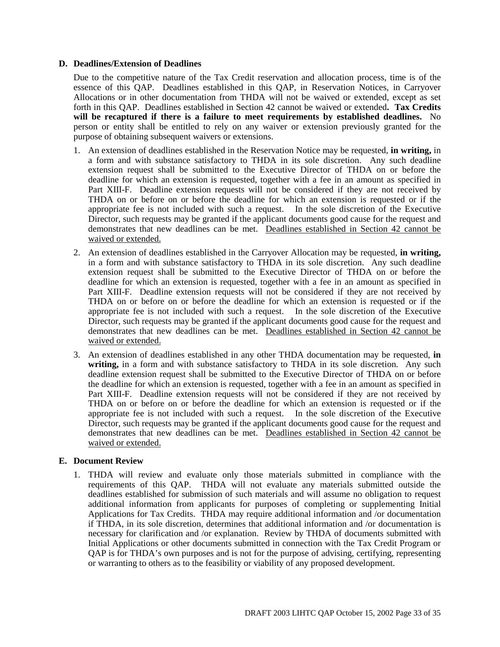#### **D. Deadlines/Extension of Deadlines**

Due to the competitive nature of the Tax Credit reservation and allocation process, time is of the essence of this QAP. Deadlines established in this QAP, in Reservation Notices, in Carryover Allocations or in other documentation from THDA will not be waived or extended, except as set forth in this QAP. Deadlines established in Section 42 cannot be waived or extended**. Tax Credits will be recaptured if there is a failure to meet requirements by established deadlines.** No person or entity shall be entitled to rely on any waiver or extension previously granted for the purpose of obtaining subsequent waivers or extensions.

- 1. An extension of deadlines established in the Reservation Notice may be requested, **in writing,** in a form and with substance satisfactory to THDA in its sole discretion. Any such deadline extension request shall be submitted to the Executive Director of THDA on or before the deadline for which an extension is requested, together with a fee in an amount as specified in Part XIII-F. Deadline extension requests will not be considered if they are not received by THDA on or before on or before the deadline for which an extension is requested or if the appropriate fee is not included with such a request. In the sole discretion of the Executive Director, such requests may be granted if the applicant documents good cause for the request and demonstrates that new deadlines can be met. Deadlines established in Section 42 cannot be waived or extended.
- 2. An extension of deadlines established in the Carryover Allocation may be requested, **in writing,** in a form and with substance satisfactory to THDA in its sole discretion. Any such deadline extension request shall be submitted to the Executive Director of THDA on or before the deadline for which an extension is requested, together with a fee in an amount as specified in Part XIII-F. Deadline extension requests will not be considered if they are not received by THDA on or before on or before the deadline for which an extension is requested or if the appropriate fee is not included with such a request. In the sole discretion of the Executive Director, such requests may be granted if the applicant documents good cause for the request and demonstrates that new deadlines can be met. Deadlines established in Section 42 cannot be waived or extended.
- 3. An extension of deadlines established in any other THDA documentation may be requested, **in writing,** in a form and with substance satisfactory to THDA in its sole discretion. Any such deadline extension request shall be submitted to the Executive Director of THDA on or before the deadline for which an extension is requested, together with a fee in an amount as specified in Part XIII-F. Deadline extension requests will not be considered if they are not received by THDA on or before on or before the deadline for which an extension is requested or if the appropriate fee is not included with such a request. In the sole discretion of the Executive Director, such requests may be granted if the applicant documents good cause for the request and demonstrates that new deadlines can be met. Deadlines established in Section 42 cannot be waived or extended.

#### **E. Document Review**

1. THDA will review and evaluate only those materials submitted in compliance with the requirements of this QAP. THDA will not evaluate any materials submitted outside the deadlines established for submission of such materials and will assume no obligation to request additional information from applicants for purposes of completing or supplementing Initial Applications for Tax Credits. THDA may require additional information and /or documentation if THDA, in its sole discretion, determines that additional information and /or documentation is necessary for clarification and /or explanation. Review by THDA of documents submitted with Initial Applications or other documents submitted in connection with the Tax Credit Program or QAP is for THDA's own purposes and is not for the purpose of advising, certifying, representing or warranting to others as to the feasibility or viability of any proposed development.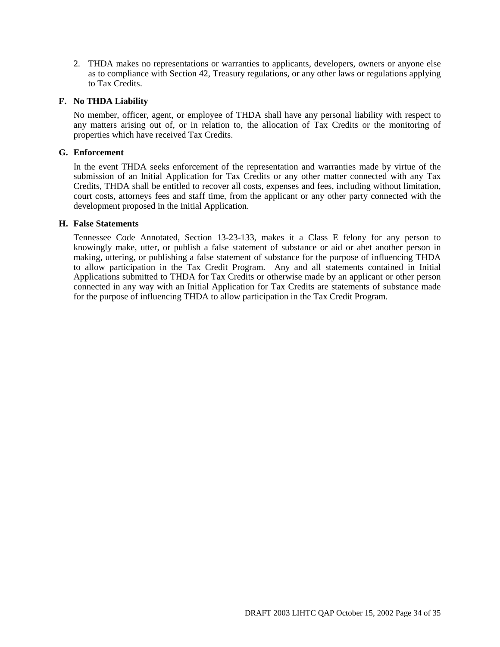2. THDA makes no representations or warranties to applicants, developers, owners or anyone else as to compliance with Section 42, Treasury regulations, or any other laws or regulations applying to Tax Credits.

#### **F. No THDA Liability**

No member, officer, agent, or employee of THDA shall have any personal liability with respect to any matters arising out of, or in relation to, the allocation of Tax Credits or the monitoring of properties which have received Tax Credits.

#### **G. Enforcement**

In the event THDA seeks enforcement of the representation and warranties made by virtue of the submission of an Initial Application for Tax Credits or any other matter connected with any Tax Credits, THDA shall be entitled to recover all costs, expenses and fees, including without limitation, court costs, attorneys fees and staff time, from the applicant or any other party connected with the development proposed in the Initial Application.

#### **H. False Statements**

Tennessee Code Annotated, Section 13-23-133, makes it a Class E felony for any person to knowingly make, utter, or publish a false statement of substance or aid or abet another person in making, uttering, or publishing a false statement of substance for the purpose of influencing THDA to allow participation in the Tax Credit Program. Any and all statements contained in Initial Applications submitted to THDA for Tax Credits or otherwise made by an applicant or other person connected in any way with an Initial Application for Tax Credits are statements of substance made for the purpose of influencing THDA to allow participation in the Tax Credit Program.